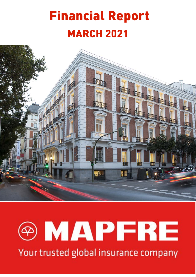# Financial Report **MARCH 2021**





Your trusted global insurance company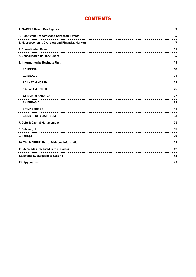# **CONTENTS**

| 1. MAPFRE Group Key Figures                     | 3  |
|-------------------------------------------------|----|
| 2. Significant Economic and Corporate Events    | 4  |
| 3. Macroeconomic Overview and Financial Markets | 7  |
| 4. Consolidated Result                          | 11 |
| 5. Consolidated Balance Sheet                   | 14 |
| 6. Information by Business Unit                 | 18 |
| <b>6.1 IBERIA</b>                               | 18 |
| <b>6.2 BRAZIL</b>                               | 21 |
| <b>6.3 LATAM NORTH</b><br>                      | 23 |
| <b>6.4 LATAM SOUTH</b>                          | 25 |
| <b>6.5 NORTH AMERICA</b>                        | 27 |
| <b>6.6 EURASIA</b><br>                          | 29 |
| <b>6.7 MAPFRE RE</b>                            | 31 |
| <b>6.8 MAPFRE ASISTENCIA</b>                    | 33 |
| 7. Debt & Capital Management                    | 34 |
| 8. Solvency II                                  | 35 |
| 9. Ratings                                      | 38 |
| 10. The MAPFRE Share. Dividend Information.     | 39 |
| 11. Accolades Received in the Quarter           | 42 |
| 12. Events Subsequent to Closing                | 43 |
| 13. Appendixes                                  | 44 |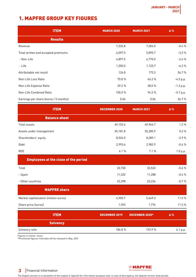# <span id="page-2-0"></span>1. MAPFRE GROUP KEY FIGURES

| <b>ITEM</b>                           | <b>MARCH 2020</b> | <b>MARCH 2021</b> | Δ%          |
|---------------------------------------|-------------------|-------------------|-------------|
| <b>Results</b>                        |                   |                   |             |
| Revenue                               | 7,332.8           | 7,304.0           | $-0.4%$     |
| Total written and accepted premiums   | 6,097.5           | 5,895.7           | $-3.3%$     |
| - Non-Life                            | 4,897.5           | 4,770.0           | $-2.6%$     |
| - Life                                | 1,200.0           | 1,125.7           | $-6.2%$     |
| Attributable net result               | 126.8             | 173.3             | 36.7%       |
| Non-Life Loss Ratio                   | 70.8%             | 66.3%             | $-4.5 p.p.$ |
| Non-Life Expense Ratio                | 29.2%             | 28.0%             | $-1.2 p.p.$ |
| Non-Life Combined Ratio               | 100.0%            | 94.3%             | $-5.7 p.p.$ |
| Earnings per share (euros / 3 months) | 0.04              | 0.06              | 36.7%       |

| <b>ITEM</b>                                 | <b>DECEMBER 2020</b> | <b>MARCH 2021</b>     | Δ%       |
|---------------------------------------------|----------------------|-----------------------|----------|
| <b>Balance sheet</b>                        |                      |                       |          |
| Total assets                                | 69,152.6             | 69,964.7              | 1.2%     |
| Assets under management                     | 55,181.8             | 55,285.9              | 0.2%     |
| Shareholders' equity                        | 8,536.0              | 8,289.1               | $-2.9%$  |
| Debt                                        | 2,993.6              | 2,982.9               | $-0.4%$  |
| <b>ROE</b>                                  | 6.1%                 | 7.1%                  | 1.0 p.p. |
| <b>Employees at the close of the period</b> |                      |                       |          |
| Total                                       | 33,730               | 33,522                | $-0.6%$  |
| - Spain                                     | 11,332               | 11,288                | $-0.4%$  |
| - Other countries                           | 22,398               | 22,234                | $-0.7%$  |
| <b>MAPFRE share</b>                         |                      |                       |          |
| Market capitalization (million euros)       | 4,905.7              | 5,469.3               | 11.5 %   |
| Share price (euros)                         | 1.593                | 1.776                 | 11.5 %   |
| <b>ITEM</b>                                 | <b>DECEMBER 2019</b> | <b>DECEMBER 2020*</b> | Δ%       |
| <b>Solvency</b>                             |                      |                       |          |

Solvency ratio 6.1 p.p.

Figures in million euros

\*Provisional figures; final data will be released in May, 2021

**@MAPFRE** Your trusted global insurance company

# **3** Financial Information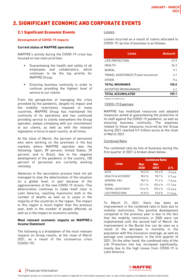# <span id="page-3-0"></span>2. SIGNIFICANT ECONOMIC AND CORPORATE EVENTS

### 2.1 Significant Economic Events

#### **Development of COVID-19 impacts**

#### **Current status of MAPFRE operations**

MAPFRE's activity during the COVID-19 crisis has focused on two main priorities:

- Guaranteeing the health and safety of all employees and collaborators, which continues to be the top priority for MAPFRE Group.
- Ensuring business continuity in order to continue providing the highest level of service to our clients

From the perspective of managing the crisis provoked by the pandemic, despite its impact and the mobility restrictions imposed in many countries, MAPFRE Group has maintained the continuity of its operations and has continued providing service to clients everywhere the Group operates, always complying with our commitment to our clients, as well as with the relevant legislation in force in each country at all times.

At the close of March, the percent of personnel who were working on the premises in the key markets where MAPFRE operates was the following: Spain, 89 percent; United States, 39 percent; and in Brazil, due to the negative development of the pandemic in the country, 100 percent of personnel are currently working remotely.

Advances in the vaccination process have not yet managed to stop the deterioration of the situation on a global level, in part because of the aggressiveness of the new COVID-19 strains. This deterioration continues to make itself clear in Latin America, reaching maximums both in the number of deaths as well as in cases in the majority of the countries in the region. The impact in this region is much higher than the previous year, both in the number of people affected, as well as in the impact on economic activity.

#### **Most relevant economic impacts on MAPFRE's Income Statement**

The following is a breakdown of the most relevant impacts on Group results, at the close of March 2021, as a result of the coronavirus crisis (COVID-19):

Losses:

Losses incurred as a result of claims allocated to COVID-19, by line of business is as follows:

| <b>Lines</b>                         | <b>Amount</b> |
|--------------------------------------|---------------|
| LIFE PROTECTION                      | 47.9          |
| HFAI TH                              | 34.3          |
| RURIAL                               | 9.1           |
| TRAVEL ASSISTANCE (Travel Insurance) | 4.1           |
| <b>OTHER</b>                         | 9.6           |
| <b>TOTAL INSURANCE</b>               | 105.0         |
| ACCEPTED REINSURANCE                 | 4.1           |
| <b>TOTAL ACCUMULATED</b>             | 109.1         |

Figures in million euro

#### COVID-19 Expenses

MAPFRE has mobilized resources and adopted measures aimed at guaranteeing the protection of its staff against the COVID-19 pandemic, as well as ensuring business continuity. The expenses related to these measures incurred by the Group during 2021 reached 0.9 million euros at the close of March 2021.

#### Combined Ratio

The combined ratio by line of business during the first quarter of 2021 is broken down below:

|                              | <b>Combined Ratio</b> |             |              |  |
|------------------------------|-----------------------|-------------|--------------|--|
| <b>Lines</b>                 | <b>Mar</b><br>2020    | Mar<br>2021 | Δ%           |  |
| AUT <sub>0</sub>             | 96.6%                 | 94.2%       | $-2.4 p.p.$  |  |
| <b>HEALTH &amp; ACCIDENT</b> | 98.0%                 | 98.7%       | 0.7 p.p.     |  |
| <b>GENERAL P&amp;C</b>       | 98.9%                 | 91.6%       | $-7.3 p.p.$  |  |
| <b>BURIAL</b>                | 121.1%                | 103.4 %     | $-17.7 p.p.$ |  |
| <b>TRAVEL ASSISTANCE</b>     | 116.6%                | 103.2%      | $-13.4 p.p.$ |  |
| LIFE PROTECTION              | 81.8%                 | 93.0%       | 11.2 p.p.    |  |

To March 31, 2021, there has been an improvement in the combined ratio in Auto due to mobility restrictions. This positive development compared to the previous year is due to the fact that the mobility restrictions in 2020 were not implemented until the second half of March. An improvement in the Burial line can be seen as a result of the decrease in mortality in the population with this insurance coverage, as well as average cost containment, in the first quarter of 2021. On the other hand, the combined ratio of the Life Protection line has increased significantly, mainly due to the high losses from COVID-19 in Latin America.

### **4** Financial Information

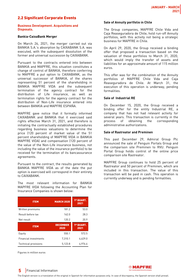### 2.2 Significant Corporate Events

#### **Business Development. Acquisitions and Disposals.**

#### **Bankia-CaixaBank Merger**

On March 26, 2021, the merger carried out via BANKIA S.A.'s absorption by CAIXABANK S.A. was executed, with the subsequent dissolution of the former and universal succession by CAIXABANK.

Pursuant to the contracts entered into between BANKIA and MAPFRE, this situation constitutes a change of control of BANKIA, therefore conferring to MAPFRE a put option to CAIXABANK, as the universal successor of BANKIA, of the shares representing 51 percent of the shareholding in BANKIA MAPFRE VIDA and the subsequent termination of the agency contract for the distribution of Life insurance, as well as termination rights for the agency contract for the distribution of Non-Life insurance entered into between BANKIA and MAPFRE ESPAÑA.

MAPFRE gave notice that it formally informed CAIXABANK and BANKIA that it exercised said rights effective March 31, 2021, and therefore is initiating the contractually established procedures regarding business valuations to determine the price (120 percent of market value of the 51 percent shareholding of MAPFRE VIDA in BANKIA MAPFRE VIDA) and compensation (120 percent of the value of the Non-Life insurance business, not including the value of the insurance portfolio) to be received for the termination of its bancassurance agreements.

Pursuant to the contract, the results generated by BANKIA MAPFRE VIDA as of the date the put option is exercised will correspond in their entirety to CAIXABANK.

The most relevant information for BANKIA MAPFRE VIDA following the Accounting Plan for Insurance Companies is shown below:

| <b>ITEM</b>                  | <b>MARCH 2020</b>       | 1º QUART.<br>2021 |
|------------------------------|-------------------------|-------------------|
| Written premiums             | 181.2                   | 53.0              |
| Result before tax            | 162.0                   | 28.3              |
| Net result                   | 120.2                   | 20.9              |
|                              |                         |                   |
| <b>ITEM</b>                  | <b>DECEMBER</b><br>2020 | 1º QUART.<br>2021 |
| Equity                       | 550.1                   | 572.5             |
| <b>Financial investments</b> | 7.310.1                 | 6.629.0           |

Figures in million euros

#### **Sale of Annuity portfolio in Chile**

The Group companies, MAPFRE Chile Vida and Caja Reaseguradora de Chile, hold run-off Annuity portfolios, with this activity not being a strategic business for MAPFRE in Chile.

On April 29, 2020, the Group received a binding offer that proposed a transaction based on the valuation of these portfolios to March 31, 2020, which would imply the transfer of assets and liabilities for an approximate amount of 115 million euros.

This offer was for the combination of the Annuity portfolios of MAPFRE Chile Vida and Caja Reaseguradora de Chile. At March 31, the execution of this operation is underway, pending formalities.

#### **Sale of Industrial RE**

On December 15, 2020, the Group received a binding offer for the entity Industrial RE, a company that has not had relevant activity for several years. This transaction is currently in the process of obtaining the corresponding administrative authorizations.

#### **Sale of Rastreator and Preminen**

This past December 29, Admiral Group Plc announced the sale of Penguin Portals Group and the comparison site Preminen to RVU. Penguin Portal Group holds control of the online price comparison site Rastreator.

MAPFRE Group continues to hold 25 percent of Rastreator and 50 percent of Preminen, which are included in this transaction. The value of this transaction will be paid in cash. This operation is currently underway and is pending formalities.



### **5** Financial Information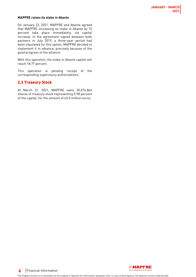#### **MAPFRE raises its stake in Abante**

On January 22, 2021, MAPFRE and Abante agreed that MAPFRE increasing its stake in Abante by 10 percent take place immediately, via capital increase. In the agreement signed between both partners in July 2019, a three-year period had been stipulated for this option; MAPFRE decided to implement it in advance, precisely because of the good progress of the alliance.

With this operation, the stake in Abante capital will reach 18.77 percent.

This operation is pending receipt of the corresponding supervisory authorizations.

### 2.3 Treasury Stock

At March 31, 2021, MAPFRE owns 30,074,864 shares of treasury stock representing 0.98 percent of the capital, for the amount of 63.0 million euros.



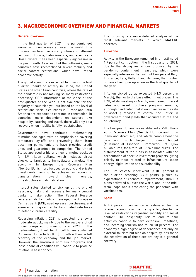# <span id="page-6-0"></span>3. MACROECONOMIC OVERVIEW AND FINANCIAL MARKETS

#### **General Overview**

In the first quarter of 2021, the pandemic got worse with new waves all over the world. This process has been particularly intense in different regions of Europe, Latin America, and specifically Brazil, where it has been especially aggressive in the past month. As a result of the outbreaks, many countries have reestablished severe mobility and social contact restrictions, which have limited economic activity.

The global economy is expected to grow in the first quarter, thanks to activity in China, the United States and other Asian countries, where the rate of the pandemic is not making so many restrictions necessary. GDP information at the close of the first quarter of the year is not available for the majority of countries yet, but based on the level of restrictions, various countries in Europe and Latin America are expected to continue in contraction. In countries more dependent on sectors like hospitality, catering and travel, there will only be a recovery when mobility is fully reestablished.

Governments have continued implementing stimulus packages, with an emphasis on covering temporary lay-offs and preventing them from becoming permanent, and have provided credit lines and guarantees to companies. The United States approved a historic new stimulus package for 1.9 trillion dollars, which includes direct checks to families to immediately stimulate the economy. In Europe, the Recovery Plan (NextGenEU) is more focused on public and private investments, aiming to achieve an economic transformation toward clean energy, infrastructure and digitalization.

Interest rates started to pick up at the end of February, making it necessary for many central banks to take action. The Federal Reserve reiterated its lax policy message, the European Central Bank (ECB) sped up asset purchasing, and some emerging central banks initiated rate hikes to defend currency stability.

Regarding inflation, 2021 is expected to show a moderate uptick, mainly due to the recovery of oil prices compared to minimums in 2020. In the medium-term, it will be difficult to see sustained Consumer Price Index (CPI) growth without a full recovery of the economy and the job market. However, the enormous stimulus programs and loose financial conditions will continue to produce inflation in asset prices.

The following is a more detailed analysis of the most relevant markets in which MAPFRE operates:

#### **Eurozone**

Activity in the Eurozone remained in an estimated 1.7 percent contraction in the first quarter of 2021, due to the strong restrictions produced by the pandemic containment measures, which were especially intense in the north of Europe and Italy. In France, Italy, Holland and Belgium, the number of cases has gone up again in the first quarter of the year.

Inflation picked up as expected (+1.3 percent in March), thanks to the base effect in oil prices. The ECB, at its meeting in March, maintained interest rates and asset purchase program amounts, although it indicated that it would increase the rate of asset purchases to control the uptick in government bond yields that occurred at the end of February.

The European Union has established a 750 billioneuro Recovery Plan (NextGenEU), consisting in loans and direct aid, and which complement the new and much larger European budget (Multinannual Financial Framework) of 1,074 billion euros, for a total of 1,824 billion euros. The disbursement of the funds is associated with the presentation of specific investment projects, giving priority to those related to infrastructure, clean energy, digitalization and sustainability.

The Euro Stoxx 50 index went up 10.3 percent in the quarter, reaching 3,919 points, pushed by expectations of economic improvement, stimulus plans activated all over the world, and in the midterm, hope about eradicating the pandemic with vaccinations.

#### **Spain**

A 4.7 percent contraction is estimated for the Spanish economy in the first quarter, due to the level of restrictions regarding mobility and social contact. The hospitality, leisure and tourism activities continue to have extensive limitations, and incoming tourism has fallen 90 percent. The economy's high degree of dependence not only on external tourism but also on hospitality, has made the reactivation of these sectors key to a general recovery.



### **7** Financial Information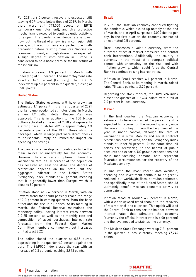For 2021, a 6.0 percent recovery is expected, still leaving GDP levels below those of 2019. In March, there were still 743,000 people on ERTE (temporary unemployment), and this protective mechanism is expected to continue until activity is fully open. The pandemic incidence rate is lower now, but the threat of a new rise in contagion still exists, and the authorities are expected to act with precaution before relaxing measures. Vaccination is moving forward, although slower than expected. A high degree of immunization in Europe is considered to be a basic premise for the return of mass tourism.

Inflation increased 1.3 percent in March, with underlying at 1.0 percent. The unemployment rate stood at 16.1 percent (February). The IBEX 35 index went up 6.3 percent in the quarter, closing at 8,580 points.

#### **United States**

The United States economy will have grown an estimated 1.1 percent in the first quarter of 2021 thanks to unprecedented stimulus plans. In March, a new 1.9 trillion dollar Rescue Plan was approved. This is in addition to the 900 billion dollars activated at the end of 2020 and represents a strong fiscal push for 2021 - approximately 4.3 percentage points of the GDP. These stimulus packages, which in large part were direct checks to households, imply an immediate impact on spending and savings.

The pandemic's development continues to be the main source of uncertainty for the economy. However, there is certain optimism from the vaccination rate, as 30 percent of the population has received at least one dose. The degree of restrictions depends on the state, but the aggregate indicator in the United States (Stringency Index) stands at 60 percent, meaning that it is generally lower than Europe, which is close to 80 percent.

Inflation stood at 2.6 percent in March, with an upward trend that could possibly reach the range of 2-3 percent in coming quarters, from the base effect and the rise in oil prices. At its meeting in March, the Federal Reserve maintained the monetary policy, leaving interest rates between 0-0.25 percent, as well as the monthly rate and composition of asset purchases. Interest rate forecasts from the Federal Open Market Committee members continue without increases until at least 2023.

The dollar closed the quarter at 0.85 euros, appreciating in the quarter 4.2 percent against the euro. The S&P500 index closed the year with an increase of 5.8 percent, reaching 3,973 points.

#### **Brazil**

In 2021, the Brazilian economy continued fighting the pandemic, which picked up notably at the end of March, and in April surpassed 4,000 deaths per day. In the first quarter, the economy contracted an estimated 0.5 percent.

Brazil possesses a volatile currency, from the alternate effect of market pressures and central bank interventions. Additionally, the country is currently in the midst of a complex political context with uncertainty on the rise, and with inflation growing, which could force the Central Bank to continue raising interest rates.

Inflation in Brazil reached 6.1 percent in March. The Central Bank, at its meeting in March, raised rates 75 basis points, to 2.75 percent.

Regarding the stock market, the BOVESPA index closed the quarter at 116,634 points, with a fall of 2.0 percent in local currency.

#### **Mexico**

In the first quarter, the Mexican economy is estimated to have contracted 3.6 percent, and is expected to recover for the second quarter, once the wave of contagion from the beginning of the year is under control, although the rate of vaccination is slow. Mobility and social contract restrictions have relaxed, and the Stringency Index stands at under 50 percent. At the same time, oil prices are recovering, to the benefit of public accounts and exports. US growth expectations and their manufacturing demand both represent favorable circumstances for the recovery of the Mexican economy.

In line with the most recent data available, spending and investment continue to be greatly reduced, but worldwide fiscal stimulus estimates, and specifically those of the United Stated, should ultimately benefit Mexican economic activity to some extent.

Inflation stood at around 4.7 percent in March, with a clear upward trend thanks to the recovery of raw material and oil prices. This uptick will lead the Central Bank to consider the balance between interest rates that stimulate the economy (currently the official interest rate is 4.00 percent) and the level needed to stabilize the currency.

The Mexican Stock Exchange went up 7.21 percent in the quarter in local currency, reaching 47,246 points.



#### **8** Financial Information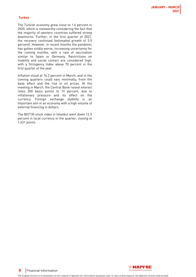#### **Turkey**

The Turkish economy grew close to 1.6 percent in 2020, which is noteworthy considering the fact that the majority of western countries suffered strong downturns. Further, in the first quarter of 2021, the recovery continued (estimated growth of 5.5 percent). However, in recent months the pandemic has gotten visibly worse, increasing uncertainty for the coming months, with a rate of vaccination similar to Spain or Germany. Restrictions on mobility and social contact are considered high, with a Stringency Index above 70 percent in the first quarter of the year.

Inflation stood at 16.2 percent in March, and in the coming quarters could vary minimally, from the base effect and the rise in oil prices. At the meeting in March, the Central Bank raised interest rates 200 basis points to 19 percent, due to inflationary pressure and its effect on the currency. Foreign exchange stability is an important aim in an economy with a high volume of external financing in dollars.

The BIST30 stock index in Istanbul went down 12.5 percent in local currency in the quarter, closing at 1,431 points.



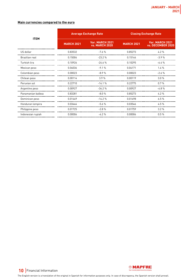#### **Main currencies compared to the euro**

|                   | <b>Average Exchange Rate</b> |                                          | <b>Closing Exchange Rate</b> |                                      |
|-------------------|------------------------------|------------------------------------------|------------------------------|--------------------------------------|
| <b>ITEM</b>       | <b>MARCH 2021</b>            | Var. MARCH 2021<br><b>vs. MARCH 2020</b> | <b>MARCH 2021</b>            | Var. MARCH 2021<br>vs. DECEMBER 2020 |
| US dollar         | 0.83532                      | $-7.6%$                                  | 0.85273                      | 4.2%                                 |
| Brazilian real    | 0.15004                      | $-23.2%$                                 | 0.15144                      | $-3.9%$                              |
| Turkish lira      | 0.10926                      | $-24.6%$                                 | 0.10295                      | $-6.4%$                              |
| Mexican peso      | 0.04036                      | $-9.1%$                                  | 0.04171                      | 1.4%                                 |
| Colombian peso    | 0.00023                      | $-8.9%$                                  | 0.00023                      | $-2.6%$                              |
| Chilean peso      | 0.00114                      | 3.9%                                     | 0.00119                      | 3.0%                                 |
| Peruvian sol      | 0.22710                      | $-14.1%$                                 | 0.22775                      | 0.7%                                 |
| Argentine peso    | 0.00927                      | $-34.2%$                                 | 0.00927                      | $-4.8%$                              |
| Panamanian balboa | 0.83281                      | $-8.0%$                                  | 0.85273                      | 4.2%                                 |
| Dominican peso    | 0.01449                      | $-14.2%$                                 | 0.01498                      | 6.5%                                 |
| Honduran lempira  | 0.03444                      | $-5.6%$                                  | 0.03546                      | 4.5%                                 |
| Philippine peso   | 0.01725                      | $-2.8%$                                  | 0.01759                      | 3.2%                                 |
| Indonesian rupiah | 0.00006                      | $-6.2%$                                  | 0.00006                      | 0.5%                                 |



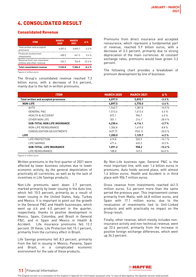# <span id="page-10-0"></span>4. CONSOLIDATED RESULT

#### Consolidated Revenue

| <b>ITEM</b>                                              | <b>MARCH</b><br>2020 | <b>MARCH</b><br>2021 | Δ%      |
|----------------------------------------------------------|----------------------|----------------------|---------|
| Total written and accepted<br>premiums                   | 6.097.5              | 5.895.7              | $-3.3%$ |
| Financial income from<br>investments                     | 608.5                | 641.5                | 54%     |
| Revenue from non-insurance<br>entities and other revenue | 626.7                | 766.8                | 224%    |
| <b>Total consolidated revenue</b>                        | 7.332.8              | 7.304.0              | –በ ፈ %  |

Figures in million euros

The Group's consolidated revenue reached 7.3 billion euros, with a decrease of 0.4 percent, mainly due to the fall in written premiums.

Premiums from direct insurance and accepted reinsurance, which represent a fundamental part of revenue, reached 5.9 billion euros, with a decrease of 3.3 percent, primarily due to strong depreciation of the main currencies. At constant exchange rates, premiums would have grown 3.2 percent.

The following chart provides a breakdown of premium development by line of business:

| <b>ITEM</b>                                | <b>MARCH 2020</b> | <b>MARCH 2021</b> | $\Delta\%$ |
|--------------------------------------------|-------------------|-------------------|------------|
| <b>Total written and accepted premiums</b> | 6,097.5           | 5,895.7           | $-3.3%$    |
| <b>NON-LIFE</b>                            | 4,897.5           | 4,770.0           | $-2.6%$    |
| <b>AUTO</b>                                | 1,543.7           | 1,381.8           | $-10.5%$   |
| <b>GENERAL P&amp;C</b>                     | 1,513.6           | 1,613.4           | 6.6%       |
| <b>HEALTH &amp; ACCIDENT</b>               | 872.1             | 906.7             | 4.0%       |
| OTHER NON LIFE                             | 301.1             | 214.1             | $-28.9%$   |
| <b>SUB-TOTAL NON LIFE INSURANCE</b>        | 4,230.4           | 4,116.1           | $-2.7%$    |
| NON-LIFE REINSURANCE                       | 1,304.8           | 1,419.0           | 8.8%       |
| CONSOLIDATION ADJUSTMENTS                  | [637.7]           | (765.1)           | $-20.0%$   |
| <b>LIFE</b>                                | 1,200.0           | 1,125.7           | $-6.2%$    |
| LIFE PROTECTION                            | 619.8             | 525.9             | $-15.1%$   |
| LIFE SAVINGS                               | 471.4             | 432.2             | $-8.3%$    |
| <b>SUB-TOTAL LIFE INSURANCE</b>            | 1,091.2           | 958.2             | $-12.2%$   |
| LIFE REINSURANCE                           | 108.8             | 167.5             | 54.0%      |

Figures in million euros

Written premiums in the first quarter of 2021 were affected by lower business volumes due to lower economic activity, by the general depreciation of practically all currencies, as well as by the lack of incentives in Life Savings products.

Non-Life premiums went down 2.7 percent, marked primarily by lower issuing in the Auto line, which fell 10.5 percent, primarily as a result of lower issuing in the United States, Italy, Turkey and Mexico. It is important to point out the growth in the General P&C and Health businesses, which went up 6.6 and 4.0 percent in the quarter, respectively, thanks to positive development in Mexico, Spain, Colombia, and Brazil in General P&C, and in Spain and Mexico in Health & Accident. Life insurance premiums fell 12.2 percent. Of these, Life Protection fell 15.1 percent, primarily from the currency effect in Brazil.

Life Savings premiums fell 8.3 percent, primarily from the fall in issuing in Mexico, Panama, Spain and Brazil, in a complicated economic environment for the sale of these products.

By Non-Life business type, General P&C is the most important line, with over 1.6 billion euros in premiums. Auto holds second place, with almost 1.4 billion euros. Health and Accident is in third place with 906.7 million euros.

Gross revenue from investments reached 641.5 million euros, 5.4 percent more than the same period the previous year. This improvement comes primarily from Malta, with 46.8 million euros, and Spain with 17.1 million euros, due to the revaluation of investments tied to Unit-Linked products and with practically no impact on the Group result.

Finally, other revenue, which mostly includes noninsurance activity and non-technical revenue, went up 22.4 percent, primarily from the increase in positive foreign exchange differences, which went up 34.3 percent.



### **11** Financial Information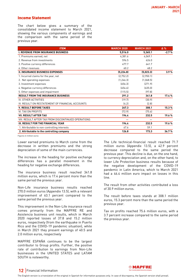#### Income Statement

The chart below gives a summary of the consolidated income statement to March 2021, showing the various components of earnings and the comparison with the same period of the previous year.

| <b>ITEM</b>                                         | <b>MARCH 2020</b> | <b>MARCH 2021</b> | $\Delta \%$ |
|-----------------------------------------------------|-------------------|-------------------|-------------|
| <b>I. REVENUE FROM INSURANCE BUSINESS</b>           | 5,516.0           | 5,365.1           | $-2.7%$     |
| 1. Premiums earned, net                             | 4,381.6           | 4,049.1           |             |
| 2 Revenue from investments                          | 596.5             | 626.0             |             |
| 3. Positive currency differences                    | 477.7             | 641.7             |             |
| 4. Other revenues                                   | 60.2              | 48.2              |             |
| <b>II. INSURANCE BUSINESS EXPENSES</b>              | (5, 224.8)        | (5,023.3)         | 3.9%        |
| 1. Incurred claims for the year, net                | [2,752.2]         | (2,950.1)         |             |
| 2. Net operating expenses                           | [1, 246.3]        | (1,068.5)         |             |
| 3. Investment expenses                              | (656.3)           | (271.9)           |             |
| 4. Negative currency differences                    | (454.6)           | (635.0)           |             |
| 5. Other expenses and impairment                    | (115.5)           | (97.8)            |             |
| <b>RESULT FROM THE INSURANCE BUSINESS</b>           | 291.2             | 341.8             | 17.4%       |
| III. OTHER ACTIVITIES                               | [19.7]            | (30.9)            |             |
| IV. RESULT ON RESTATEMENT OF FINANCIAL ACCOUNTS     | (4.2)             | (2.8)             |             |
| <b>V. RESULT BEFORE TAXES</b>                       | 267.3             | 308.1             | 15.3%       |
| VI. TAX ON PROFITS                                  | [72.9]            | (75.6)            |             |
| <b>VII. RESULT AFTER TAX</b>                        | 194.4             | 232.5             | 19.6%       |
| VIII. RESULT AFTER TAX FROM DISCONTINUED OPERATIONS |                   |                   |             |
| IX. RESULT FOR THE FINANCIAL YEAR                   | 194.4             | 232.5             | 19.6%       |
| 1. Attributable to non-controlling interests        | 67.6              | 59.1              |             |
| 2. Attributable to the controlling company          | 126.8             | 173.3             | 36.7%       |

Figures in million euros

Lower earned premiums to March come from the decrease in written premiums and the strong depreciation of some of the main currencies.

The increase in the heading for positive exchange differences has a parallel movement in the heading for negative exchange differences.

The insurance business result reached 341.8 million euros, which is 17.4 percent more than the same period the previous year.

Non-Life insurance business results reached 270.0 million euros (Appendix 13.5), with a relevant improvement of 63.1 percent compared to the same period the previous year.

This improvement in the Non-Life insurance result comes primarily from the MAPFRE RE and Asistencia business unit results, which in March 2020 reported losses of 37.8 and 15.2 million euros, respectively (from the earthquake in Puerto Rico and the COVID-19 pandemic situation), while in March 2021 they present earnings of 40.5 and 2.0 million euros, respectively

MAPFRE ESPAÑA continues to be the largest contributor to Group profits. Further, the positive rate of contribution to earnings from Non-Life businesses in the UNITED STATES and LATAM SOUTH is noteworthy.

The Life technical-financial result reached 71.7 million euros (Appendix 13.5), a 42.9 percent decrease compared to the same period the previous year. This decline is due, on the one hand, to currency depreciation and, on the other hand, to lower Life Protection business results because of the negative development of the COVID-19 pandemic in Latin America, which to March 2021 had a 46.4 million euro impact on losses in this line.

The result from other activities contributed a loss of 30.9 million euros.

The result before taxes stands at 308.1 million euros, 15.3 percent more than the same period the previous year.

Tax on profits reached 75.6 million euros, with a 3.7 percent increase compared to the same period the previous year.



### **12** Financial Information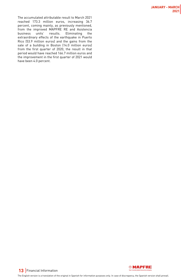The accumulated attributable result to March 2021 reached 173.3 million euros, increasing 36.7 percent, coming mainly, as previously mentioned, from the improved MAPFRE RE and Asistencia business units' results. Eliminating the extraordinary effects of the earthquake in Puerto Rico (53.9 million euros) and the gains from the sale of a building in Boston (14.0 million euros) from the first quarter of 2020, the result in that period would have reached 166.7 million euros and the improvement in the first quarter of 2021 would have been 4.0 percent.

**13** Financial Information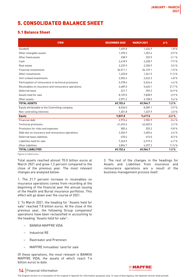# <span id="page-13-0"></span>5. CONSOLIDATED BALANCE SHEET

# 5.1 Balance Sheet

| <b>ITEM</b>                                          | <b>DECEMBER 2020</b> | <b>MARCH 2021</b> | $\Delta\%$ |
|------------------------------------------------------|----------------------|-------------------|------------|
| Goodwill                                             | 1,409.8              | 1,434.9           | 1.8%       |
| Other intangible assets                              | 1,370.3              | 1,357.4           | $-0.9%$    |
| Other fixed assets                                   | 238.9                | 233.9             | $-2.1%$    |
| Cash                                                 | 2,418.9              | 2,228.7           | $-7.9%$    |
| Real estate                                          | 2.239.9              | 2.250.9           | 0.5%       |
| Financial investments                                | 36,511.1             | 36,129.1          | $-1.0%$    |
| Other investments                                    | 1,220.8              | 1,361.5           | 11.5 %     |
| Unit-Linked investments                              | 2,502.4              | 2,622.3           | 4.8%       |
| Participation of reinsurance in technical provisions | 5,378.6              | 5,624.4           | 4.6%       |
| Receivables on insurance and reinsurance operations  | 4,489.5              | 5,465.1           | 21.7%      |
| Deferred taxes                                       | 221.7                | 259.2             | 16.9%      |
| Assets held for sale                                 | 8,159.5              | 7,838.9           | $-3.9%$    |
| Other assets                                         | 2,991.2              | 3,158.5           | 5.6 %      |
| <b>TOTAL ASSETS</b>                                  | 69,152.6             | 69,964.7          | 1.2%       |
| Equity attributable to the Controlling company       | 8.536.0              | 8.289.1           | $-2.9%$    |
| Non-controlling interests                            | 1,301.8              | 1,327.9           | 2.0%       |
| <b>Equity</b>                                        | 9,837.8              | 9,617.0           | $-2.2%$    |
| Financial debt                                       | 2,993.6              | 2,982.9           | $-0.4%$    |
| Technical provisions                                 | 41,692.6             | 42,602.5          | 2.2%       |
| Provisions for risks and expenses                    | 582.6                | 525.2             | $-9.8%$    |
| Debt due on insurance and reinsurance operations     | 2,256.9              | 2,405.6           | 6.6%       |
| Deferred taxes liabilities                           | 670.6                | 615.0             | $-8.3%$    |
| Liabilities held for sale                            | 7.263.9              | 6,919.3           | $-4.7%$    |
| Other liabilities                                    | 3.854.7              | 4,297.2           | 11.5 %     |
| <b>TOTAL LIABILITIES</b>                             | 69,152.6             | 69,964.7          | 1.2%       |

Figures in million euros

Total assets reached almost 70.0 billion euros at March 2021 and grew 1.2 percent compared to the close of the previous year. The most relevant changes are analyzed below:

1. The 21.7 percent increase in receivables on insurance operations comes from recording at the beginning of the financial year the annual issuing of the Health and Burial insurance portfolios. This effect will go down over the course of 2021.

2. To March 2021, the heading for "Assets held for sale" reached 7.8 billion euros. At the close of the previous year, the following Group companies/ operations have been reclassified in accounting to the heading "Assets held for sale":

- BANKIA MAPFRE VIDA
- Industrial RE
- Rastreator and Preminen
- MAPFRE Inmuebles' land for sale

Of these operations, the most relevant is BANKIA MAPFRE VIDA, the assets of which reach 7.4 billion euros to date.

3. The rest of the changes in the headings for Assets and Liabilities from insurance and reinsurance operations are a result of the business management process itself.



### **14** Financial Information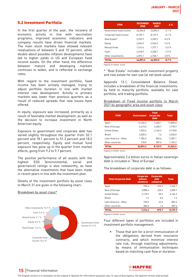### 5.2 Investment Portfolio

In the first quarter of the year, the recovery of economic activity in line with vaccination programs, improved economic indicators and company results have driven financial markets. The main stock markets have showed relevant revaluations of between 5 and 10 percent, while doubts about possible inflation developments have led to higher yields in US and European fixed income assets. On the other hand, the difference between mature and developing markets continues to widen, and is reflected in exchange rates.

With regard to the investment portfolio, fixed income has been actively managed, trying to adjust portfolio duration in line with market interest rate development. Activity in primary markets was lower than previous quarters as a result of reduced spreads that new issues have offered.

In equity, exposure was increased, primarily as a result of favorable market development, as well as the decision to increase investment in North American equity.

Exposure to government and corporate debt has varied slightly throughout the quarter from 52.1 percent and 18.1 percent to 51.3 percent and 18.2 percent, respectively. Equity and mutual fund exposure has gone up in the quarter from market effects, going from 9.2 to 9.7 percent.

The positive performance of all assets with the highest ESG (environmental, social and governance) ratings is also noteworthy, as have the alternative investments that have been made in recent years in line with the investment plan.

Details of the investment portfolio by asset class to March 31 are given in the following chart:

#### Breakdown by asset class\*



| <b>ITEM</b>             | <b>DECEMBER</b><br>2020 | <b>MARCH</b><br>2021 | Δ%      |
|-------------------------|-------------------------|----------------------|---------|
| Government fixed income | 23.396.0                | 22.893.3             | $-2.1%$ |
| Corporate fixed income  | 8.135.7                 | 8.129.9              | $-0.1%$ |
| Real Estate*            | 2.239.9                 | 2.250.9              | 0.5%    |
| Equity                  | 2.694.9                 | 2.944.5              | 9.3%    |
| Mutual funds            | 1.414.6                 | 1.377.1              | $-2.6%$ |
| Cash                    | 2.418.9                 | 2.228.7              | $-7.9%$ |
| Other investments       | 4.593.1                 | 4.768.1              | 3.8%    |
| TOTAL                   | 44.893.2                | 44.592.5             | $-0.7%$ |

Figures in million euros

\* "Real Estate" includes both investment property and real estate for own use (at net book value).

Appendix 13.1, Consolidated Balance Sheet, includes a breakdown of the financial investments: by held to maturity portfolio, available for sale portfolio, and trading portfolio.

#### Breakdown of Fixed income portfolio to March 2021 by geographic area and asset class

| <b>ITEM</b>           | <b>Government</b> |         | <b>Total</b> |
|-----------------------|-------------------|---------|--------------|
| Spain                 | 12,334.3          | 1,466.1 | 13,800.4     |
| Rest of Europe        | 4.473.0           | 3.305.7 | 7.778.7      |
| <b>United States</b>  | 1,552.6           | 2,166.2 | 3,718.8      |
| Brazil                | 2.030.4           | 1.6     | 2.032.0      |
| Latin America - Other | 1.784.5           | 802.6   | 2.587.1      |
| Other countries       | 718.5             | 387.6   | 1,106.2      |
| TOTAL                 | 22,893.3          | 8,129.9 | 31,023.2     |

Figures in million euros

Approximately 2.6 billion euros in Italian sovereign debt is included in "Rest of Europe".

The breakdown of corporate debt is as follows:

| <b>Total Corporate Debt</b> | <b>Corporate</b><br>without<br>collateral | <b>Corporate</b><br>with<br>collateral | <b>Total</b> |
|-----------------------------|-------------------------------------------|----------------------------------------|--------------|
| Spain                       | 995.4                                     | 470.7                                  | 1,466.1      |
| Rest of Europe              | 3.080.4                                   | 225.4                                  | 3.305.7      |
| <b>United States</b>        | 2,110.9                                   | 55.4                                   | 2,166.2      |
| Brazil                      | 1.6                                       | 0.0                                    | 1.6          |
| Latin America - Other       | 740.0                                     | 62.6                                   | 802.6        |
| Other countries             | 386.0                                     | 1.6                                    | 387.6        |
| TOTAL                       | 7,314.2                                   | 815.7                                  | 8.129.9      |

Figures in million euros

Four different types of portfolios are included in investment portfolio management:

• Those that aim for a strict immunization of the obligations derived from insurance contracts, and which minimize interest rate risk, through matching adjustments, by means of immunization techniques based on matching cash flow or duration.

# **15** Financial Information

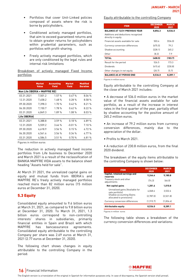- Portfolios that cover Unit-Linked policies composed of assets where the risk is borne by policyholders.
- Conditioned actively managed portfolios, that aim to exceed guaranteed returns and to obtain greater returns for policyholders within prudential parameters, such as portfolios with profit-sharing.
- Freely actively managed portfolios, which are only conditioned by the legal rules and internal risk limitations

Breakdown of actively managed Fixed Income portfolios

|                               | <b>Market</b><br><b>Value</b> | <b>Accounting</b><br>Yield | <b>Market</b><br><b>Yield</b> | <b>Modified</b><br><b>Duration</b> |
|-------------------------------|-------------------------------|----------------------------|-------------------------------|------------------------------------|
| Non Life (IBERIA + MAPFRE RE) |                               |                            |                               |                                    |
| 03.31.2021                    | 7.501.2                       | 1.57%                      | 0.47%                         | 8.06%                              |
| 12.31.2020                    | 7,458.2                       | 1.68%                      | 0.28%                         | 8.58 %                             |
| 09.30.2020                    | 7.398.3                       | 1.70%                      | 0.42%                         | 8.21%                              |
| 06.30.2020                    | 7,150.7                       | 1 78 %                     | በ 62 %                        | 8.22%                              |
| 03.31.2020                    | 6.849.3                       | 1.89%                      | 1.08%                         | 8.03%                              |
| Life (IBERIA)                 |                               |                            |                               |                                    |
| 03.31.2021                    | 5.388.8                       | 3.59%                      | 0.18%                         | 6.89%                              |
| 12.31.2020                    | 5.559.2                       | 3.66%                      | $-0.01%$                      | 7.10%                              |
| 09.30.2020                    | 6,618.9                       | 3.56%                      | 0.15%                         | 6.72%                              |
| 06.30.2020                    | 6.561.6                       | 3.56%                      | 0.34%                         | 6.77%                              |
| 03.31.2020                    | 6.584.5                       | 3.51%                      | 0.70%                         | 6.81%                              |

Figures in million euros

The reduction in actively managed fixed income portfolios from Life business to December 2020 and March 2021 is a result of the reclassification of BANKIA MAPFRE VIDA assets to the balance sheet heading "Assets held for sale".

At March 31 2021, the unrealized capital gains on equity and mutual funds from IBERIA's and MAPFRE RE's freely actively managed portfolios reached more than 82 million euros (15 million euros at December 31, 2020).

# 5.3 Equity

Consolidated equity amounted to 9.6 billion euros at March 31, 2021, as compared to 9.8 billion euros at December 31, 2020. To March 31, 2021, 1.3 billion euros correspond to non-controlling interests' shares in subsidiaries, primarily financial entities in Spain and Brazil with which MAPFRE has bancassurance agreements. Consolidated equity attributable to the controlling Company per share was 2.69 euros at March 31, 2021 (2.77 euros at December 31, 2020).

The following chart shows changes in equity attributable to the controlling Company in the period:

#### Equity attributable to the controlling Company

| <b>ITEM</b>                                               | <b>DECEMBER</b><br>2020 | <b>MARCH</b><br>2021 |
|-----------------------------------------------------------|-------------------------|----------------------|
| <b>BALANCE AT 12/31 PREVIOUS YEAR</b>                     | 8,854.3                 | 8,536.0              |
| Additions and deductions recognized<br>directly in equity |                         |                      |
| Financial assets available for sale                       | 503.4                   | [536.0]              |
| Currency conversion differences                           | (675.5)                 | 79.2                 |
| Shadow accounting                                         | (228.1)                 | 265.2                |
| Other                                                     | [8.3]                   | 7.9                  |
| <b>TOTAL</b>                                              | (408.5)                 | (183.7)              |
| Result for the period                                     | 526.5                   | 173.3                |
| Dividends                                                 | [415.6]                 | (230.8)              |
| Other changes in net equity                               | (20.7)                  | (5.7)                |
| <b>BALANCE AS AT PERIOD END</b>                           | 8.536.0                 | 8.289.1              |

Figures in million euros

Equity attributable to the controlling Company at the close of March 2021 includes:

• A decrease of 536.0 million euros in the market value of the financial assets available for sale portfolio, as a result of the increase in interest rates in the first quarter of the year, partially offset by shadow accounting for the positive amount of 265.2 million euros.

• An increase of 79.2 million euros from currency conversion differences, mainly due to the appreciation of the dollar.

• Profits to March 2021.

• A reduction of 230.8 million euros, from the final 2020 dividend.

The breakdown of the equity items attributable to the controlling Company is shown below:

| <b>ITEM</b>                                          | <b>DECEMBER</b><br>2020 | <b>MARCH</b><br>2021 |
|------------------------------------------------------|-------------------------|----------------------|
| Capital, retained earnings and<br>reserves           | 9.244.4                 | 9.180.8              |
| Treasury stock and other<br>adjustments              | [74.3]                  | [66.0]               |
| Net capital gains                                    | 1.281.6                 | 1.010.8              |
| Unrealised gains (Available for<br>sale portfolio)   | 4.068.6                 | 3.532.6              |
| Shadow accounting (Gains<br>allocated to provisions) | [2.787.0]               | [2.521.8]            |
| Currency conversion differences                      | (1, 915.7)              | (1,836.6)            |
| <b>Attributable equity</b>                           | 8,536.0                 | 8.289.1              |

Figures in million euros

The following table shows a breakdown of the currency conversion differences and variations:



# **16** Financial Information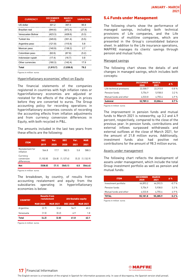| <b>CURRENCY</b>    | <b>DECEMBER</b><br>2020 | <b>MARCH</b><br>2021 | <b>VARIATION</b> |
|--------------------|-------------------------|----------------------|------------------|
| US dollar          | 301.2                   | 397.0                | 95.9             |
| Brazilian real     | (944.6)                 | (972.4)              | (27.8)           |
| Venezuelan Bolivar | (423.3)                 | (428.6)              | (5.3)            |
| Turkish lira       | (345.9)                 | (351.4)              | (5.5)            |
| Argentine peso     | (121.8)                 | (115.9)              | 5.8              |
| Mexican peso       | (140.9)                 | (138.2)              | 2.7              |
| Colombian peso     | (62.6)                  | (67.8)               | (5.2)            |
| Indonesian rupiah  | (17.4)                  | (16.7)               | 0.8              |
| Other currencies   | (160.3)                 | (142.4)              | 17.9             |
| Total              | (1,915.7)               | (1,836.6)            | 79.2             |

Figures in million euros

#### Hyperinflationary economies' effect on Equity

The financial statements of the companies registered in countries with high inflation rates or hyperinflationary economies are adjusted or restated for the effects of the changes in prices before they are converted to euros. The Group accounting policy for recording operations in hyperinflationary economies consists of recording the accounting effects from inflation adjustments and from currency conversion differences in Equity, with both recycled in P&L.

The amounts included in the last two years from these effects are the following:

| <b>ITEM</b>                           | <b>DEC</b> | Var.   | <b>DEC</b> | Var.  | <b>MAR</b> |
|---------------------------------------|------------|--------|------------|-------|------------|
|                                       | 2019       | 2020   | 2020       | 2021  | 2021       |
| Restatement for<br>inflation          | 564.8      | 17.7   | 582.5      | 5.8   | 588.3      |
| Currency<br>conversion<br>differences | [1.102.8]  | [24.8] | [1.127.6]  | (5.3) | [1.132.9]  |
| <b>Net</b>                            | (538.0)    | (7.1)  | (545.1)    | 0.5   | (544.6)    |

Figures in million euros

The breakdown, by country, of results from accounting restatement and equity from the subsidiaries operating in hyperinflationary economies is below:

| <b>COUNTRY</b> | <b>Results from</b><br>restatement |       | <b>Attributable equity</b> |                 |  |
|----------------|------------------------------------|-------|----------------------------|-----------------|--|
|                | <b>MAR 2021</b><br><b>MAR 2020</b> |       | <b>DEC 2020</b>            | <b>MAR 2021</b> |  |
| Argentina      | [2.7]                              | [2.6] | 54.9                       | 60.3            |  |
| Venezuela      | (1.5)                              | [0.2] | 6.9                        | 18              |  |
| <b>Total</b>   | (4.2)                              | (2.8) | 61.8                       | 62.1            |  |

Figures in million euros

#### 5.4 Funds under Management

The following charts show the performance of managed savings, including both technical provisions of Life companies, and the Life provisions of multiline companies, which are presented in the Group's consolidated balance sheet. In addition to the Life insurance operations, MAPFRE manages its clients' savings through pension and mutual funds.

#### Managed savings

The following chart shows the details of and changes in managed savings, which includes both concepts:

| <b>ITEM</b>              | <b>DECEMBER</b><br>2020 | <b>MARCH</b><br>2021 | $\Delta \%$ |
|--------------------------|-------------------------|----------------------|-------------|
| Life technical provisons | 22.500.7                | 22.313.0             | $-0.8%$     |
| Pension funds            | 5.754.9                 | 5.938.0              | 32%         |
| Mutual funds and other   | 4.533.8                 | 4.755.4              | 4.9%        |
| <b>Subtotal</b>          | 32,789.3                | 33.006.4             | 0.7%        |

Figures in million euros

The improvement in pension funds and mutual funds to March 2021 is noteworthy, up 3.2 and 4.9 percent, respectively, compared to the close of the previous year. In pension funds, contributions and external inflows surpassed withdrawals and external outflows at the close of March 2021, for the amount of 21.8 million euros. Additionally, investment funds also had positive net contributions for the amount of 98.3 million euros.

#### Assets under management

The following chart reflects the development of assets under management, which include the total Group investment portfolio as well as pension and mutual funds:

| <b>ITEM</b>            | <b>DECEMBER</b><br>2020 | <b>MARCH</b><br>2021 | $\Delta\%$ |  |
|------------------------|-------------------------|----------------------|------------|--|
| Investment portfolio   | 44.893.2                | 44.592.5             | $-0.7%$    |  |
| Pension funds          | 5.754.9                 | 5.938.0              | 32%        |  |
| Mutual funds and other | 4.533.8                 | 4.755.4              | 4.9%       |  |
| TOTAL                  | 55,181.8                | 55.285.9             | 0.2%       |  |

Figures in million euros



# **17** Financial Information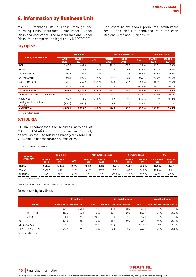# <span id="page-17-0"></span>6. Information by Business Unit

MAPFRE manages its business through the following Units: Insurance, Reinsurance, Global Risks and Assistance. The Reinsurance and Global Risks Units comprise the legal entity MAPFRE RE.

The chart below shows premiums, attributable result, and Non-Life combined ratio for each Regional Area and Business Unit:

#### **Key Figures**

|                                           |                      | <b>Premiums</b>      |          |                      | <b>Attributable result</b> | <b>Combined ratio</b> |                      |                      |
|-------------------------------------------|----------------------|----------------------|----------|----------------------|----------------------------|-----------------------|----------------------|----------------------|
| <b>AREA / BUSINESS UNIT</b>               | <b>MARCH</b><br>2020 | <b>MARCH</b><br>2021 | Δ%       | <b>MARCH</b><br>2020 | <b>MARCH</b><br>2021       | Δ%                    | <b>MARCH</b><br>2020 | <b>MARCH</b><br>2021 |
| <b>IBERIA</b>                             | 2,415.2              | 2,485.0              | 2.9%     | 103.2                | 108.3                      | 4.9%                  | 96.5%                | 93.3%                |
| <b>BRAZIL</b>                             | 838.0                | 729.0                | $-13.0%$ | 28.8                 | 14.3                       | $-50.3%$              | 95.0%                | 88.2%                |
| LATAM NORTH                               | 484.2                | 454.6                | $-6.1%$  | 23.1                 | 10.1                       | $-56.3%$              | 90.9%                | 93.0%                |
| LATAM SOUTH                               | 371.1                | 385.5                | 3.9%     | 13.1                 | 17.6                       | 34.6 %                | 97.3%                | 89.4%                |
| <b>NORTH AMERICA</b>                      | 510.5                | 454.7                | $-10.9%$ | 24.0                 | 27.6                       | 14.9 %                | 101.7%               | 96.6%                |
| <b>EURASIA</b>                            | 473.2                | 430.7                | $-9.0%$  | 5.0                  | 3.4                        | $-30.9%$              | 101.5%               | 104.7%               |
| <b>TOTAL INSURANCE</b>                    | 5.092.3              | 4.939.5              | $-3.0%$  | 197.1                | 181.3                      | $-8.0%$               | 97.2%                | 93.8%                |
| REINSURANCE AND GLOBAL RISKS              | 1,413.6              | 1,586.5              | 12.2 %   | [29.4]               | 32.4                       | 210.3 %               | 109.3%               | 95.1%                |
| ASSISTANCE                                | 219.7                | 118.6                | $-46.0%$ | (11.9)               | (2.1)                      | 82.6 %                | 110.2 %              | 100.3%               |
| Holdings and consolidation<br>adjustments | (628.0)              | [749.0]              | $-19.3%$ | [29.0]               | [38.3]                     | $-32.2%$              | $-$ %                | $-$ %                |
| <b>MAPFRE S.A.</b>                        | 6.097.5              | 5.895.7              | $-3.3%$  | 126.8                | 173.3                      | 36.7%                 | 100.0%               | 94.3%                |

Figures in million euros

#### 6.1 IBERIA

IBERIA encompasses the business activities of MAPFRE ESPAÑA and its subsidiary in Portugal, as well as the Life business managed by MAPFRE VIDA and its bancassurance subsidiaries.

#### Information by country

| <b>REGION /</b> | <b>Premiums</b>      |                      |             | <b>Attributable result</b> |                      |         | <b>Combined ratio</b> |                      | <b>ROE</b>              |                      |
|-----------------|----------------------|----------------------|-------------|----------------------------|----------------------|---------|-----------------------|----------------------|-------------------------|----------------------|
| <b>COUNTRY</b>  | <b>MARCH</b><br>2020 | <b>MARCH</b><br>2021 | $\Delta \%$ | <b>MARCH</b><br>2020       | <b>MARCH</b><br>2021 | Δ%      | <b>MARCH</b><br>2020  | <b>MARCH</b><br>2021 | <b>DECEMBER</b><br>2020 | <b>MARCH</b><br>2021 |
| <b>IBERIA</b>   | 2.415.2              | 2.485.0              | 2.9%        | 103.2                      | 108.3                | 4.9%    | 96.5%                 | 93.3%                | 10.6%                   | 11.0%                |
| SPAIN*          | 2.384.5              | 2.454.1              | 2.9%        | 101.7                      | 107.3                | 5.5%    | 96.5%                 | 932%                 | 10 7 %                  | 11.1%                |
| PORTUGAL        | 30.7                 | 30.9                 | 0.4%        | 1.5                        | 1.0                  | $-331%$ | 99.3%                 | 977%                 | 6.4%                    | 6.5%                 |

Figures in million euros

\*VERTI Spain premiums reached 21.3 million euros (+5.6 percent).

#### Breakdown by key lines:

|                              |                   | <b>Premiums</b>   |            |                              | <b>Attributable result</b> |            |                   | <b>Combined ratio</b> |
|------------------------------|-------------------|-------------------|------------|------------------------------|----------------------------|------------|-------------------|-----------------------|
| <b>IBERIA</b>                | <b>MARCH 2020</b> | <b>MARCH 2021</b> | $\Delta$ % | <b>MARCH 2020 MARCH 2021</b> |                            | $\Delta\%$ | <b>MARCH 2020</b> | <b>MARCH 2021</b>     |
| LIFE                         | 471.5             | 463.3             | $-1.7%$    | 30.1                         | 28.2                       | $-6.2%$    | $-$ %             | $-$ %                 |
| LIFE PROTECTION              | 166.3             | 164.2             | $-1.3%$    | 25.9                         | 20.7                       | $-19.9%$   | 65.6 %            | 70.9%                 |
| LIFE SAVINGS                 | 305.1             | 299.1             | $-2.0%$    | 8.1                          | 7.3                        | $-9.9%$    | $-$ %             | $-$ %                 |
| <b>AUTO</b>                  | 531.6             | 538.7             | 1.3%       | 51.9                         | 50.7                       | $-2.4%$    | 89.8%             | 88.1%                 |
| <b>GENERAL P&amp;C</b>       | 686.2             | 710.7             | 3.6%       | (4.9)                        | 14.0                       | 383.6 %    | 106.0%            | 98.9%                 |
| <b>HEALTH &amp; ACCIDENT</b> | 647.4             | 697.1             | 7.7%       | 6.5                          | 8.7                        | 33.9 %     | 96.7%             | 95.5%                 |

Figures in million euros



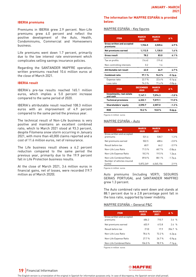#### **IBERIA premiums**

Premiums in IBERIA grew 2.9 percent. Non-Life premiums grew 4.0 percent and reflect the positive development of the Auto, Health, Condominiums, Commercial and Homeowners business.

Life premiums went down 1.7 percent, primarily due to the low interest rate environment which complicates selling savings insurance policies.

Regarding the SANTANDER MAPFRE operation, written premiums reached 10.6 million euros at the close of March 2021.

#### **IBERIA result**

IBERIA's pre-tax results reached 165.1 million euros, which implies a 5.0 percent increase compared to the same period of 2020.

IBERIA's attributable result reached 108.3 million euros with an improvement of 4.9 percent compared to the same period the previous year.

The technical result of Non-Life business is very positive and maintains an excellent combined ratio, which to March 2021 stood at 93.3 percent, despite Filomena snow storm occurring in January 2021, with more than 40,000 claims reported and a cost of 11.6 million euros, net of reinsurance.

The Life business result shows a 6.2 percent reduction compared to the same period the previous year, primarily due to the 19.9 percent fall in Life Protection business results.

At the close of March 2021, 3.4 million euros in financial gains, net of losses, were recorded (19.7 million as of March 2020).

#### **The information for MAPFRE ESPAÑA is provided below:**

#### MAPFRE ESPAÑA - Key figures

| <b>ITEM</b>                            | <b>MARCH</b><br>2020    | <b>MARCH</b><br>2021 | Δ%                  |
|----------------------------------------|-------------------------|----------------------|---------------------|
| Gross written and accepted<br>premiums | 1,926.5                 | 2,020.4              | 4.9%                |
| Net premiums earned                    | 1,112.5                 | 1,130.0              | 1.6%                |
| <b>Gross result</b>                    | 78.2                    | 83.0                 | 6.1%                |
| Tax on profits                         | (16.4)                  | (19.4)               |                     |
| Non-controlling interests              | 0.2                     | 1.4                  |                     |
| Attributable net result                | 62.0                    | 64.9                 | 4.7%                |
| <b>Combined ratio</b>                  | 97.1%                   | 94.0%                | $-3.1 p.p.$         |
| Expense ratio                          | 22.7%                   | 22.6%                | $-0.1p.p.$          |
| Loss ratio                             | 74.3%                   | 71.4 %               | $-3.0p.p.$          |
| <b>ITEM</b>                            | <b>DECEMBER</b><br>2020 | <b>MARCH</b><br>2021 | A %                 |
| Investments, real estate<br>and cash   | 7,147.1                 | 7,074.3              | $-1.0%$             |
| <b>Technical provisions</b>            | 6,322.1                 | 7,019.1              | 11.0%               |
| Shareholders' equity                   | 2.590.7                 | 2.557.0              | $-1.3%$             |
| <b>ROE</b>                             | 10.2%                   | 10.8%                | 0.6 <sub>p.p.</sub> |

Figures in million euros

#### MAPFRE ESPAÑA – Auto

| <b>ITEM</b>                                           | <b>MARCH</b><br>2020 | <b>MARCH</b><br>2021 | $\Delta$ % |
|-------------------------------------------------------|----------------------|----------------------|------------|
| Gross written and accepted                            |                      |                      |            |
| premiums                                              | 531.6                | 538.7                | 1.3%       |
| Net premiums earned                                   | 502.5                | 4886                 | $-2.8%$    |
| Result before tax                                     | 68.9                 | 66.2                 | $-3.9%$    |
| Non-Life Loss Ratio                                   | 71.5%                | 68.7%                | $-2.8p.p.$ |
| Non-Life Expense Ratio                                | 18.3%                | 19.5%                | 1.2p.p.    |
| Non-Life Combined Ratio<br>Number of vehicles insured | 89.8%                | 88 1 %               | $-1.7p.p.$ |
| (units)                                               | 5.872.249            | 6,045,156            | 2.9%       |

Figures in million euros

Auto premiums (including VERTI, SEGUROS GERAIS PORTUGAL and SANTANDER MAPFRE) grew 1.3 percent.

The Auto combined ratio went down and stands at 88.1 percent due to a 2.8 percentage point fall in the loss ratio, supported by lower mobility.

#### MAPFRE ESPAÑA – General P&C

| <b>ITEM</b>                            | <b>MARCH</b><br>2020 | <b>MARCH</b><br>2021 | $\Delta$ % |
|----------------------------------------|----------------------|----------------------|------------|
| Gross written and accepted<br>premiums | 686.2                | 710.7                | 36 %       |
| Net premiums earned                    | 403.9                | 413.8                | 24%        |
| Result before tax                      | (7.0)                | 179                  | 356.7 %    |
| Non-Life Loss Ratio                    | 78 4 %               | 722%                 | $-6.2p.p.$ |
| Non-Life Expense Ratio                 | 27.7%                | 26.7%                | $-0.9p.p.$ |
| Non-Life Combined Ratio                | 106.0%               | 98.9%                | $-7.1p.p.$ |

Figures in million euros

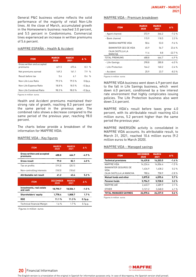General P&C business volume reflects the solid performance of the majority of retail Non-Life lines. At the close of March, accumulated growth in the Homeowners business reached 3.0 percent, and 5.5 percent in Condominiums. Commercial lines experienced an increase in written premiums of 5.6 percent.

#### MAPFRE ESPAÑA – Health & Accident

| <b>ITEM</b>                            | <b>MARCH</b><br>2020 | <b>MARCH</b><br>2021 | $\Delta$ %          |
|----------------------------------------|----------------------|----------------------|---------------------|
| Gross written and accepted<br>premiums | 621.5                | 673.4                | 8.3%                |
| Net premiums earned                    | 149.3                | 161.1                | 79%                 |
| Result before tax                      | 5.6                  | 6 <sub>1</sub>       | 84%                 |
| Non-Life Loss Ratio                    | 79.5%                | 79.5%                | 0.0 <sub>p.p.</sub> |
| Non-Life Expense Ratio                 | 18.8%                | 18.5%                | $-0.3p.p.$          |
| Non-Life Combined Ratio                | 98.3%                | 98.0%                | $-0.3p.p.$          |

Figures in million euros

Health and Accident premiums maintained their strong rate of growth, reaching 8.3 percent over the same period in the previous year. The combined ratio shows a decrease compared to the same period of the previous year, reaching 98.0 percent.

The charts below provide a breakdown of the information for MAPFRE VIDA:

#### MAPFRE VIDA - Key figures

| <b>ITEM</b>                            | <b>MARCH</b><br>2020    | <b>MARCH</b><br>2021 | Δ%                  |
|----------------------------------------|-------------------------|----------------------|---------------------|
| Gross written and accepted<br>premiums | 488.8                   | 464.7                | $-4.9%$             |
| Gross result                           | 79.0                    | 82.1                 | 4.0%                |
| Tax on profits                         | [19.3]                  | (20.1)               |                     |
| Non-controlling interests              | (18.5)                  | (18.6)               |                     |
| Attributable net result                | 41.2                    | 43.4                 | 5.2%                |
|                                        |                         |                      |                     |
| <b>ITEM</b>                            | <b>DECEMBER</b><br>2020 | <b>MARCH</b><br>2021 | Δ%                  |
| Investments, real estate<br>and cash   | 18,790.7                | 18,506.1             | $-1.5%$             |
| <b>Shareholders' equity</b>            | 1,778.4                 | 1,808.7              | 1.7%                |
| <b>ROE</b>                             | 11.1%                   | 11.3%                | 0.1 <sub>p.p.</sub> |

Figures in million euros

#### MAPFRE VIDA - Premium breakdown

| <b>ITEM</b>                       | <b>MARCH</b><br>2020 | <b>MARCH</b><br>2021 | $\Delta\%$ |
|-----------------------------------|----------------------|----------------------|------------|
| - Agent channel                   | 372.9                | 346.2                | $-7.2%$    |
| - Bank channel                    | 115.9                | 118.5                | 2.3%       |
| BANKIA MAPFRE VIDA                | 58.6                 | 53.0                 | $-9.6%$    |
| BANKINTER SEG DE VIDA             | 45.9                 | 567                  | 23.6%      |
| CAJA CASTILLA LA<br><b>MANCHA</b> | 11.4                 | 8.8                  | $-22.7%$   |
| TOTAL PREMIUMS                    | 488.8                | 464.7                | $-4.9%$    |
| - Life-Savings                    | 298.8                | 280.8                | $-6.0%$    |
| - Life-Protection                 | 164.2                | 160.2                | $-2.4%$    |
| - Accident                        | 25.9                 | 23.7                 | $-8.3%$    |

Figures in million euros

MAPFRE VIDA business went down 4.9 percent due to the fall in Life Savings business, which went down 6.0 percent, conditioned by a low interest rate environment that highly complicates issuing policies. The Life Protection business also went down 2.4 percent.

MAPFRE VIDA's result before taxes grew 4.0 percent, with its attributable result reaching 43.4 million euros, 5.2 percent higher than the same period the previous year.

MAPFRE INVERSIÓN activity is consolidated in MAPFRE VIDA accounts. Its attributable result, to March 31, 2021, reached 10.6 million euros (9.2 million euros to March 2020).

#### MAPFRE VIDA – Managed savings

| <b>ITEM</b>                                | <b>DECEMBER</b><br>2020 | <b>MARCH</b><br>2021 | Δ%      |
|--------------------------------------------|-------------------------|----------------------|---------|
| <b>Technical provisions</b>                | 16.439.8                | 16.203.5             | $-1.4%$ |
| MAPFRE VIDA                                | 14.224.4                | 14.006.4             | $-1.5%$ |
| <b>BANKINTER SEGUROS DE</b><br><b>VIDA</b> | 1.434.9                 | 1.438.2              | 0.2%    |
| CAJA CASTILLA LA MANCHA                    | 780.6                   | 758.9                | $-2.8%$ |
| Mutual funds and other                     | 3.875.8                 | 4.095.6              | 5.7%    |
| <b>Pension funds</b>                       | 5.754.9                 | 5.938.0              | 3.2%    |
| MAPFRE AM                                  | 2.633.7                 | 2.689.9              | 21%     |
| <b>OTHER</b>                               | 3.121.2                 | 3.248.0              | 4.1%    |
| <b>TOTAL MANAGED SAVINGS</b>               | 26.070.6                | 26.237.0             | 0.6%    |

Figures in million euros



**20** Financial Information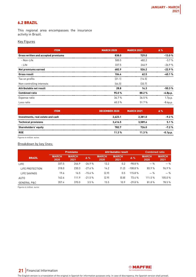# <span id="page-20-0"></span>6.2 BRAZIL

This regional area encompasses the insurance activity in Brazil.

#### Key Figures

| <b>ITEM</b>                         | <b>MARCH 2020</b> | <b>MARCH 2021</b> | $\Delta$ % |
|-------------------------------------|-------------------|-------------------|------------|
| Gross written and accepted premiums | 838.0             | 729.0             | $-13.0%$   |
| - Non-Life                          | 500.5             | 482.2             | $-3.7%$    |
| - Life                              | 337.5             | 246.9             | $-26.9%$   |
| Net premiums earned                 | 682.9             | 526.2             | $-22.9%$   |
| <b>Gross result</b>                 | 104.4             | 62.5              | $-40.1%$   |
| Tax on profits                      | (31.1)            | (14.5)            |            |
| Non-controlling interests           | (44.5)            | (33.7)            |            |
| Attributable net result             | 28.8              | 14.3              | $-50.3%$   |
| <b>Combined ratio</b>               | 95.0%             | 88.2%             | $-6.8p.p.$ |
| Expense ratio                       | 34.7%             | 36.5%             | 1.7p.p.    |
| Loss ratio                          | 60.3%             | 51.7%             | $-8.6p.p.$ |

| <b>DECEMBER 2020</b> | <b>MARCH 2021</b> | $\Delta \%$ |
|----------------------|-------------------|-------------|
| 2.623.1              | 2.381.0           | $-9.2%$     |
| 3.416.5              | 3.589.6           | 5.1%        |
| 782.7                | 726.0             | $-7.2%$     |
| 11.3%                | 11.3%             | $-0.1p.p.$  |
|                      |                   |             |

Figures in million euros

#### Breakdown by key lines:

|                        |                      | <b>Premiums</b>      |            | <b>Attributable result</b> |                      |            | <b>Combined ratio</b> |                      |  |
|------------------------|----------------------|----------------------|------------|----------------------------|----------------------|------------|-----------------------|----------------------|--|
| <b>BRAZIL</b>          | <b>MARCH</b><br>2020 | <b>MARCH</b><br>2021 | $\Delta\%$ | <b>MARCH</b><br>2020       | <b>MARCH</b><br>2021 | $\Delta\%$ | <b>MARCH</b><br>2020  | <b>MARCH</b><br>2021 |  |
| <b>LIFE</b>            | 337.5                | 246.9                | $-26.9%$   | 12.2                       | 0.2                  | $-98.8%$   | $-$ %                 | $-$ %                |  |
| LIFE PROTECTION        | 318.0                | 230.3                | $-27.6%$   | 14.2                       | (1.2)                | $-108.8%$  | 83.9%                 | 96.9%                |  |
| LIFE SAVINGS           | 19.6                 | 16.5                 | $-15.6%$   | (2.9)                      | 0.5                  | 115.8%     | $-$ %                 | $-$ %                |  |
| <b>AUTO</b>            | 142.6                | 111.9                | $-21.5%$   | (2.9)                      | [0.8]                | 73.4 %     | 111.5 %               | 105.0%               |  |
| <b>GENERAL P&amp;C</b> | 357.4                | 370.0                | 3.5%       | 15.5                       | 10.9                 | $-29.8%$   | 81.8%                 | 78.5%                |  |

Figures in million euros



# **21** Financial Information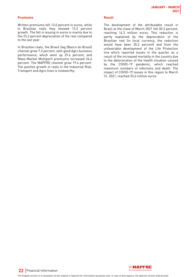#### **Premiums**

Written premiums fell 13.0 percent in euros, while in Brazilian reals they showed 13.3 percent growth. The fall in issuing in euros is mainly due to the 23.2 percent depreciation of the real compared to the last year.

In Brazilian reals, the Brasil Seg (Banco do Brasil) channel grew 7.3 percent, with good Agro business performance, which went up 29.4 percent, and Mass-Market Multiperil premiums increased 24.6 percent. The MAPFRE channel grew 19.4 percent. The positive growth in reals in the Industrial Risk, Transport and Agro lines is noteworthy.

#### **Result**

The development of the attributable result in Brazil at the close of March 2021 fell 50.3 percent, reaching 14.3 million euros. This reduction is partly explained by the depreciation of the Brazilian real (in local currency, the reduction would have been 35.2 percent) and from the unfavorable development of the Life Protection line which reported losses in the quarter as a result of the increased mortality in the country due to the deterioration of the health situation caused by the COIVD-19 pandemic, which reached maximum numbers of infections and death. The impact of COVID-19 losses in this region to March 31, 2021, reached 33.6 million euros.

**22** Financial Information

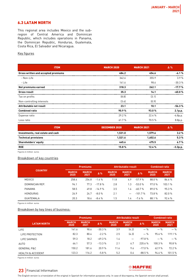# <span id="page-22-0"></span>6.3 LATAM NORTH

This regional area includes Mexico and the subregion of Central America and Dominican Republic, which includes operations in Panama, the Dominican Republic, Honduras, Guatemala, Costa Rica, El Salvador and Nicaragua.

#### Key figures

| <b>ITEM</b>                         | <b>MARCH 2020</b> | <b>MARCH 2021</b> | $\Delta\%$ |
|-------------------------------------|-------------------|-------------------|------------|
| Gross written and accepted premiums | 484.2             | 454.6             | $-6.1%$    |
| - Non-Life                          | 342.6             | 355.9             | 3.9%       |
| - Life                              | 141.6             | 98.6              | $-30.3%$   |
| Net premiums earned                 | 318.3             | 262.1             | $-17.7%$   |
| <b>Gross result</b>                 | 35.3              | 14.1              | $-60.0%$   |
| Tax on profits                      | [8.8]             | (3.1)             |            |
| Non-controlling interests           | (3.4)             | [0.9]             |            |
| Attributable net result             | 23.1              | 10.1              | $-56.3%$   |
| <b>Combined ratio</b>               | 90.9%             | 93.0%             | 2.1p.p.    |
| Expense ratio                       | 29.2%             | 22.4 %            | $-6.8p.p.$ |
| Loss ratio                          | 61.7%             | 70.5%             | 8.8p.p.    |

| <b>ITEM</b>                       | <b>DECEMBER 2020</b> | <b>MARCH 2021</b> | $\Delta \%$ |
|-----------------------------------|----------------------|-------------------|-------------|
| Investments, real estate and cash | 1.531.0              | 1.579.6           | 3.2%        |
| <b>Technical provisions</b>       | 1.521.6              | 1.602.6           | 5.3%        |
| <b>Shareholders' equity</b>       | 445.6                | 475.5             | 6.7%        |
| <b>ROE</b>                        | 15.8%                | 12.4%             | $-3.3p.p.$  |

Figures in million euros

#### Breakdown of key countries

| <b>COUNTRY</b>   |                      | <b>Premiums</b>      |            |                      | Attributable result  | <b>Combined ratio</b> |                      |                      |  |
|------------------|----------------------|----------------------|------------|----------------------|----------------------|-----------------------|----------------------|----------------------|--|
|                  | <b>MARCH</b><br>2020 | <b>MARCH</b><br>2021 | $\Delta\%$ | <b>MARCH</b><br>2020 | <b>MARCH</b><br>2021 | $\Delta\%$            | <b>MARCH</b><br>2020 | <b>MARCH</b><br>2021 |  |
| <b>MEXICO</b>    | 258.4                | 254.8                | $-1.4%$    | 11.8                 | 4.9                  | $-57.9%$              | 88.0%                | 86.6%                |  |
| DOMINICAN REP.   | 94.1                 | 77.3                 | $-178%$    | 2.8                  | 1.3                  | $-53.0%$              | 97.0%                | 103.1 %              |  |
| PANAMA           | 58.5                 | 49.8                 | $-14.9%$   | 3.5                  | 1.4                  | $-60.7%$              | 89.0%                | 95.3%                |  |
| <b>HONDURAS</b>  | 26.9                 | 24.7                 | $-8.0%$    | 2.1                  |                      | $-101.7%$             | 73.8%                | 82.0%                |  |
| <b>GUATEMALA</b> | 20.3                 | 18.6                 | $-8.4%$    | 1.5                  | 1.4                  | $-7.6%$               | 88.1%                | 92.4%                |  |

Figures in million euros

#### Breakdown by key lines of business:

|                              |                      | <b>Premiums</b>      |            |                      | <b>Attributable result</b> |            | <b>Combined ratio</b> |                      |
|------------------------------|----------------------|----------------------|------------|----------------------|----------------------------|------------|-----------------------|----------------------|
| <b>LATAM NORTH</b>           | <b>MARCH</b><br>2020 | <b>MARCH</b><br>2021 | $\Delta\%$ | <b>MARCH</b><br>2020 | <b>MARCH</b><br>2021       | $\Delta\%$ | <b>MARCH</b><br>2020  | <b>MARCH</b><br>2021 |
| <b>LIFE</b>                  | 141.6                | 98.6                 | $-30.3%$   | 3.9                  | (4.2)                      | $-$ %      | $-$ %                 | $-$ %                |
| LIFE PROTECTION              | 82.3                 | 80.4                 | $-2.2 \%$  | 2.5                  | (4.3)                      | $-$ %      | 95.6%                 | 119.1 %              |
| <b>LIFE SAVINGS</b>          | 59.3                 | 18.2                 | $-69.3%$   | 1.4                  |                            | $-97.8%$   | $-$ %                 | $-$ %                |
| <b>AUTO</b>                  | 66.1                 | 57.3                 | $-13.3%$   | 2.1                  | 6.7                        | 220.6%     | 100.3%                | 90.8%                |
| <b>GENERAL P&amp;C</b>       | 150.2                | 181.6                | 20.9%      | 11.6                 | 9.6                        | $-17.0%$   | 62.9%                 | 72.2 %               |
| <b>HEALTH &amp; ACCIDENT</b> | 123.3                | 116.2                | $-5.8%$    | 5.2                  | 0.6                        | $-88.5%$   | 94.6%                 | 101.5 %              |

Figures in million euros

# **23** Financial Information

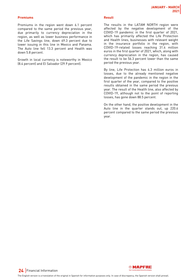#### **Premiums**

Premiums in the region went down 6.1 percent compared to the same period the previous year, due primarily to currency depreciation in the region, as well as lower business performance in the Life Savings line, down 69.3 percent due to lower issuing in this line in Mexico and Panama. The Auto line fell 13.3 percent and Health was down 5.8 percent.

Growth in local currency is noteworthy in Mexico (8.4 percent) and El Salvador (29.9 percent).

#### **Result**

The results in the LATAM NORTH region were affected by the negative development of the COVID-19 pandemic in the first quarter of 2021, which has primarily affected the Life Protection and Health lines, businesses with relevant weight in the insurance portfolio in the region, with COVID-19-related losses reaching 31.4 million euros in the first quarter of 2021, which, along with currency depreciation in the region, has caused the result to be 56.3 percent lower than the same period the previous year.

By line, Life Protection has 4.3 million euros in losses, due to the already mentioned negative development of the pandemic in the region in the first quarter of the year, compared to the positive results obtained in the same period the previous year. The result of the Health line, also affected by COVID-19, although not to the point of reporting losses, has gone down 88.5 percent.

On the other hand, the positive development in the Auto line in the quarter stands out, up 220.6 percent compared to the same period the previous year.

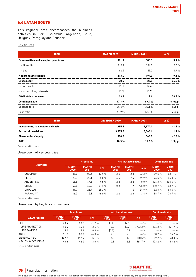# <span id="page-24-0"></span>6.4 LATAM SOUTH

This regional area encompasses the business activities in Peru, Colombia, Argentina, Chile, Uruguay, Paraguay and Ecuador.

#### Key figures

| <b>ITEM</b>                         | <b>MARCH 2020</b> | <b>MARCH 2021</b> | $\Delta\%$ |
|-------------------------------------|-------------------|-------------------|------------|
| Gross written and accepted premiums | 371.1             | 385.5             | 3.9%       |
| - Non-Life                          | 310.7             | 326.3             | 5.0%       |
| - Life                              | 60.4              | 59.2              | $-1.9%$    |
| Net premiums earned                 | 213.4             | 194.0             | $-9.1%$    |
| <b>Gross result</b>                 | 20.4              | 25.9              | 26.6%      |
| Tax on profits                      | (6.8)             | [6.6]             |            |
| Non-controlling interests           | [0.5]             | (1.7)             |            |
| Attributable net result             | 13.1              | 17.6              | 34.6%      |
| <b>Combined ratio</b>               | 97.3%             | 89.4%             | $-8.0p.p.$ |
| Expense ratio                       | 35.5%             | 32.1 %            | $-3.4p.p.$ |
| Loss ratio                          | 61.9%             | 57.3 %            | $-4.6p.p.$ |

| <b>ITEM</b>                       | <b>DECEMBER 2020</b> | <b>MARCH 2021</b> | $\Delta\%$ |
|-----------------------------------|----------------------|-------------------|------------|
| Investments, real estate and cash | 1.995.6              | 1.974.1           | $-1.1%$    |
| <b>Technical provisions</b>       | 3.305.0              | 3.366.4           | 1.9%       |
| <b>Shareholders' equity</b>       | 578.5                | 564.9             | $-2.3%$    |
| <b>ROE</b>                        | 10.3%                | 11.8%             | 1.5p.p.    |

Figures in million euros

#### Breakdown of key countries

| <b>COUNTRY</b> |                      | <b>Premiums</b>      |            |                      | Attributable result  | <b>Combined ratio</b> |                      |                      |
|----------------|----------------------|----------------------|------------|----------------------|----------------------|-----------------------|----------------------|----------------------|
|                | <b>MARCH</b><br>2020 | <b>MARCH</b><br>2021 | $\Delta\%$ | <b>MARCH</b><br>2020 | <b>MARCH</b><br>2021 | $\Delta\%$            | <b>MARCH</b><br>2020 | <b>MARCH</b><br>2021 |
| COLOMBIA       | 86.9                 | 102.5                | 17.9%      | 3.5                  | 2.3                  | $-33.3%$              | 89.5%                | 83.1%                |
| PERU           | 128.3                | 122.1                | $-4.8%$    | 4.6                  | 7.4                  | 59.9%                 | 94.5%                | 86.8%                |
| ARGENTINA      | 45.5                 | 47.5                 | 4.5%       | 2.2                  | 2.2                  | $0.0\%$               | 106.3%               | 105.6%               |
| <b>CHILE</b>   | 47.8                 | 62.8                 | 31.4%      | 0.2                  | 1.7                  | 705.0%                | 110.7%               | 93.9%                |
| <b>URUGUAY</b> | 31.7                 | 23.7                 | $-25.3%$   | 1.1                  | 1.4                  | 34.9%                 | 92.8%                | 93.6 %               |
| PARAGUAY       | 16.0                 | 15.1                 | $-6.0%$    | 2.2                  | 2.3                  | 3.4%                  | 88.7%                | 78.7%                |

Figures in million euros

#### Breakdown by key lines of business:

|                              |                      | <b>Premiums</b>      |            |                      | Attributable result  | <b>Combined ratio</b> |                      |                      |
|------------------------------|----------------------|----------------------|------------|----------------------|----------------------|-----------------------|----------------------|----------------------|
| <b>LATAM SOUTH</b>           | <b>MARCH</b><br>2020 | <b>MARCH</b><br>2021 | $\Delta\%$ | <b>MARCH</b><br>2020 | <b>MARCH</b><br>2021 | $\Delta\%$            | <b>MARCH</b><br>2020 | <b>MARCH</b><br>2021 |
| LIFE                         | 60.4                 | 59.2                 | $-1.9%$    | (0.4)                | (2.6)                | $-$ %                 | $-$ %                | $-$ %                |
| LIFE PROTECTION              | 45.4                 | 44.2                 | $-2.6%$    | 0.0                  | (3.7)                | $-7923.3%$            | 106.3%               | 121.9%               |
| LIFE SAVINGS                 | 15.0                 | 15.1                 | 0.3%       | [0.5]                | 0.9                  | $-$ %                 | $-$ %                | $-$ %                |
| <b>AUTO</b>                  | 91.2                 | 87.3                 | $-4.3%$    | 7.3                  | 7.3                  | $-$ %                 | 98.7%                | 95.2%                |
| <b>GENERAL P&amp;C</b>       | 167.2                | 192.4                | 15.1%      | 5.2                  | 11.3                 | 118.5 %               | 89.2%                | 73.8%                |
| <b>HEALTH &amp; ACCIDENT</b> | 40.8                 | 42.0                 | 3.0%       | 0.3                  | 2.3                  | 568.7%                | 103.2%               | 96.2%                |

Figures in million euros

# **25** Financial Information

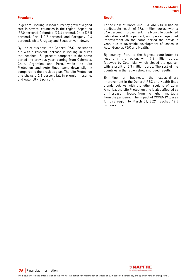#### **Premiums**

In general, issuing in local currency grew at a good rate in several countries in the region: Argentina (59.0 percent), Colombia (29.4 percent), Chile (26.5 percent), Peru (10.7 percent), and Paraguay (2.4 percent), while Uruguay and Ecuador went down.

By line of business, the General P&C line stands out with a relevant increase in issuing in euros that reaches 15.1 percent compared to the same period the previous year, coming from Colombia, Chile, Argentina and Peru, while the Life Protection and Auto lines went down slightly compared to the previous year. The Life Protection line shows a 2.6 percent fall in premium issuing, and Auto fell 4.3 percent.

#### **Result**

To the close of March 2021, LATAM SOUTH had an attributable result of 17.6 million euros, with a 34.6 percent improvement. The Non-Life combined ratio stands at 89.4 percent, an 8 percentage point improvement on the same period the previous year, due to favorable development of losses in Auto, General P&C and Health.

By country, Peru is the highest contributor to results in the region, with 7.4 million euros, followed by Colombia, which closed the quarter with a profit of 2.3 million euros. The rest of the countries in the region show improved results.

By line of business, the extraordinary improvement in the General P&C and Health lines stands out. As with the other regions of Latin America, the Life Protection line is also affected by an increase in losses from the higher mortality from the pandemic. The impact of COVID-19 losses for this region to March 31, 2021 reached 19.5 million euros.

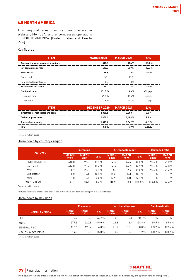### <span id="page-26-0"></span>6.5 NORTH AMERICA

This regional area has its headquarters in Webster, MA (USA) and encompasses operations in NORTH AMERICA (United States and Puerto Rico).

#### Key figures

| <b>ITEM</b>                         | <b>MARCH 2020</b> | <b>MARCH 2021</b> | $\Delta \%$ |
|-------------------------------------|-------------------|-------------------|-------------|
| Gross written and accepted premiums | 510.5             | 454.7             | $-10.9%$    |
| Net premiums earned                 | 443.8             | 367.5             | $-17.2%$    |
| <b>Gross result</b>                 | 29.9              | 35.8              | 19.8%       |
| Tax on profits                      | (5.9)             | (8.2)             |             |
| Non-controlling interests           | 0.0               | 0.0               |             |
| Attributable net result             | 24.0              | 27.6              | 14.9%       |
| <b>Combined ratio</b>               | 101.7%            | 96.6%             | $-5.1p.p.$  |
| Expense ratio                       | 29.9%             | 32.6%             | 2.6p.p.     |
| Loss ratio                          | 71.8%             | 64.1%             | $-7.7p.p.$  |
|                                     |                   |                   |             |

| <b>ITEM</b>                       | DECEMBER 2020 MARCH 2021 |         | $\Lambda$ % |
|-----------------------------------|--------------------------|---------|-------------|
| Investments, real estate and cash | 2.388.6                  | 2.388.4 | $0.0 \%$    |
| <b>Technical provisions</b>       | 2.452.4                  | 2.484.5 | 1.3%        |
| Shareholders' equity              | 1.343.4                  | 1.342.7 | $-0.1%$     |
| <b>ROE</b>                        | 5.6%                     | 59%     | $0.2D$ .    |

Figures in million euros

### Breakdown by country / region

| <b>COUNTRY</b> |                      | <b>Premiums</b>      |            |                      | Attributable result  |            | <b>Combined ratio</b> |                      |
|----------------|----------------------|----------------------|------------|----------------------|----------------------|------------|-----------------------|----------------------|
|                | <b>MARCH</b><br>2020 | <b>MARCH</b><br>2021 | $\Delta\%$ | <b>MARCH</b><br>2020 | <b>MARCH</b><br>2021 | $\Delta\%$ | <b>MARCH</b><br>2020  | <b>MARCH</b><br>2021 |
| UNITED STATES  | 448.8                | 396.3                | $-11.7%$   | 40.9                 | 24.4                 | $-40.5%$   | 95.9%                 | 97.2%                |
| Northeast      | 414.0                | 370.9                | $-10.4%$   | 45.2                 | 24.9                 | $-44.9%$   | 93.2%                 | 96.3%                |
| West           | 28.7                 | 22.8                 | $-20.7%$   | 4.3                  | 2.5                  | $-41.8%$   | 90.9%                 | 91.6%                |
| Exit states*   | 5.0                  | 2.1                  | $-58.4%$   | [4.6]                | (1.9)                | 58.1%      | $-$ %                 | $-$ %                |
| Verti          | 1.0                  | 0.6                  | $0.0 \%$   | (3.9)                | (1.1)                | 72.7%      | $-$ %                 | $-$ %                |
| PUERTO RICO    | 61.7                 | 58.4                 | $-5.3%$    | (16.9)               | 3.2                  | 118.8%     | 142.1%                | 93.2%                |

Figures in million euros

\*Includes businesses or states that are not part of MAPFRE's long-term strategic path in the United States

#### Breakdown by key lines

|                              | <b>Premiums</b>      |                      |            |                      | Attributable result  | <b>Combined ratio</b> |                      |                      |
|------------------------------|----------------------|----------------------|------------|----------------------|----------------------|-----------------------|----------------------|----------------------|
| <b>NORTH AMERICA</b>         | <b>MARCH</b><br>2020 | <b>MARCH</b><br>2021 | $\Delta\%$ | <b>MARCH</b><br>2020 | <b>MARCH</b><br>2021 | $\Delta\%$            | <b>MARCH</b><br>2020 | <b>MARCH</b><br>2021 |
| <b>LIFE</b>                  | 0.9                  | 0.2                  | $-76.7%$   | 0.2                  | 0.4                  | 50.1%                 | $-$ %                | $-$ %                |
| <b>AUTO</b>                  | 377.2                | 320.8                | $-15.0%$   | 26.8                 | 16.4                 | $-38.9%$              | 95.5%                | 95.0%                |
| <b>GENERAL P&amp;C</b>       | 118.6                | 125.7                | 6.0%       | (3.5)                | 10.5                 | $0.0 \%$              | 153.7%               | 109.6%               |
| <b>HEALTH &amp; ACCIDENT</b> | 14.3                 | 12.0                 | $-15.8%$   | 0.0                  | 0.0                  | 81.2%                 | 100.7%               | 100.9%               |

Figures in million euros



# **27** Financial Information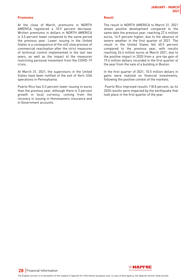#### **Premiums**

At the close of March, premiums in NORTH AMERICA registered a 10.9 percent decrease. Written premiums in dollars in NORTH AMERICA is 3.5 percent lower compared to the same period the previous year. Lower issuing in the United States is a consequence of the still slow process of commercial reactivation after the strict measures of technical control implemented in the last two years, as well as the impact of the measures restricting personal movement from the COVID-19 crisis.

At March 31, 2021, the supervisors in the United States have been notified of the exit of Verti USA operations in Pennsylvania.

Puerto Rico has 5.3 percent lower issuing in euros than the previous year, although there is 3 percent growth in local currency, coming from the recovery in issuing in Homeowners insurance and in Government accounts.

#### **Result**

The result in NORTH AMERICA to March 31, 2021 shows positive development compared to the same date the previous year, reaching 27.6 million euros, 14.9 percent higher, due to the absence of severe weather in the first quarter of 2021. The result in the United States fell 40.5 percent compared to the previous year, with results reaching 24.4 million euros at March 2021, due to the positive impact in 2020 from a pre-tax gain of 19.6 million dollars recorded in the first quarter of the year from the sale of a building in Boston.

In the first quarter of 2021, 10.5 million dollars in gains were realized on financial investments, following the positive context of the markets.

 Puerto Rico improved results 118.8 percent, as its 2020 results were impacted by the earthquake that took place in the first quarter of the year.



**28** Financial Information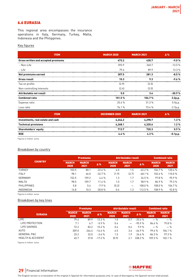# <span id="page-28-0"></span>6.6 EURASIA

This regional area encompasses the insurance operations in Italy, Germany, Turkey, Malta, Indonesia and the Philippines.

#### Key figures

| <b>ITEM</b>                         | <b>MARCH 2020</b> | <b>MARCH 2021</b> | Δ%         |
|-------------------------------------|-------------------|-------------------|------------|
| Gross written and accepted premiums | 473.2             | 430.7             | $-9.0%$    |
| - Non-Life                          | 393.9             | 340.7             | $-13.5%$   |
| - Life                              | 79.4              | 89.9              | 13.3 %     |
| Net premiums earned                 | 307.5             | 281.3             | $-8.5%$    |
| <b>Gross result</b>                 | 10.3              | 9.3               | $-9.6%$    |
| Tax on profits                      | [2.9]             | (2.5)             |            |
| Non-controlling interests           | [2.4]             | (3.5)             |            |
| Attributable net result             | 5.0               | 3.4               | $-30.9%$   |
| <b>Combined ratio</b>               | 101.5%            | 104.7%            | 3.2p.p.    |
| Expense ratio                       | 25.4 %            | 31.3%             | 5.9p.p.    |
| Loss ratio                          | 76.1%             | 73.4 %            | $-2.7p.p.$ |

| <b>ITEM</b>                       | <b>DECEMBER 2020</b> | <b>MARCH 2021</b> | Δ%         |
|-----------------------------------|----------------------|-------------------|------------|
| Investments, real estate and cash | 4.244.2              | 4.298.7           | 1.3%       |
| <b>Technical provisions</b>       | 4.268.1              | 4.320.6           | 1.2%       |
| Shareholders' equity              | 713.7                | 720.3             | 0.9%       |
| <b>ROE</b>                        | 44%                  | 43%               | $-0.1p.p.$ |

Figures in million euros

#### Breakdown by country

|                    | <b>Premiums</b>      |                      | <b>Attributable result</b> |                      |                      | <b>Combined ratio</b> |                      |                      |
|--------------------|----------------------|----------------------|----------------------------|----------------------|----------------------|-----------------------|----------------------|----------------------|
| <b>COUNTRY</b>     | <b>MARCH</b><br>2020 | <b>MARCH</b><br>2021 | Δ%                         | <b>MARCH</b><br>2020 | <b>MARCH</b><br>2021 | Δ%                    | <b>MARCH</b><br>2020 | <b>MARCH</b><br>2021 |
| <b>TURKEY</b>      | 103.5                | 80.1                 | $-22.6%$                   | 4.0                  | 1.5                  | $-62.2%$              | 106.7%               | 120.4%               |
| <b>ITALY</b>       | 98.1                 | 66.0                 | $-32.7%$                   | (1.9)                | [2.7]                | $-48.1%$              | 102.6 %              | 110.0%               |
| <b>GERMANY</b>     | 152.5                | 159.2                | 4.4%                       | 1.3                  | 1.7                  | 24.5 %                | 97.8%                | 95.9%                |
| MALTA              | 98.5                 | 109.7                | 11.4%                      | 1.0                  | 1.7                  | 58.9%                 | 86.9%                | 79.3%                |
| <b>PHILIPPINES</b> | 5.8                  | 5.4                  | $-7.9%$                    | (0.2)                |                      | 108.0%                | 108.0%               | 104.7%               |
| <b>INDONESIA</b>   | 14.8                 | 10.3                 | $-30.8%$                   | 0.6                  | 1.3                  | 112.5 %               | 108.9%               | 92.8%                |

Figures in million euros

### Breakdown by key lines

|                              |                      | <b>Premiums</b>      |            | <b>Attributable result</b> |                          |            | <b>Combined ratio</b> |                      |
|------------------------------|----------------------|----------------------|------------|----------------------------|--------------------------|------------|-----------------------|----------------------|
| <b>EURASIA</b>               | <b>MARCH</b><br>2020 | <b>MARCH</b><br>2021 | <b>A</b> % | <b>MARCH</b><br>2020       | <b>MARCH</b><br>2021     | $\Delta\%$ | <b>MARCH</b><br>2020  | <b>MARCH</b><br>2021 |
| LIFE                         | 79.4                 | 89.9                 | 13.3%      | 1.0                        | 0.7                      | $-33.4%$   | $-$ %                 | $-$ %                |
| LIFE PROTECTION              | 7.1                  | 6.7                  | $-5.9%$    | 0.4                        | $\overline{\phantom{m}}$ | $-95.9%$   | 84.6%                 | 79.8%                |
| LIFE SAVINGS                 | 72.2                 | 83.2                 | 152%       | 0.6                        | 0.6                      | 9.9%       | $-$ %                 | $-$ %                |
| AUTO                         | 309.0                | 264.4                | $-14.4%$   | 6.5                        | 3.6                      | $-44.9%$   | 99.6%                 | 104.1%               |
| <b>GENERAL P&amp;C</b>       | 33.2                 | 32.0                 | $-3.6%$    | 1.5                        | 1.9                      | 26.6%      | 86.3%                 | 97.3%                |
| <b>HEALTH &amp; ACCIDENT</b> | 45.7                 | 37.8                 | $-17.3%$   | [0.9]                      | 2.1                      | 338.2 %    | 109.3%                | 102.1%               |

Figures in million euros



# **29** Financial Information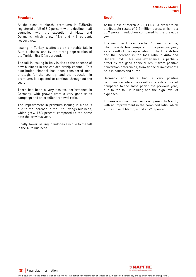#### **Premiums**

At the close of March, premiums in EURASIA registered a fall of 9.0 percent with a decline in all countries, with the exception of Malta and Germany, which grew 11.4 and 4.4 percent, respectively.

Issuing in Turkey is affected by a notable fall in Auto business, and by the strong depreciation of the Turkish lira (24.6 percent).

The fall in issuing in Italy is tied to the absence of new business in the car dealership channel. This distribution channel has been considered nonstrategic for the country, and the reduction in premiums is expected to continue throughout the year.

There has been a very positive performance in Germany, with growth from a very good sales campaign and an excellent renewal ratio.

The improvement in premium issuing in Malta is due to the increase in the Life Savings business, which grew 15.3 percent compared to the same date the previous year.

Finally, lower issuing in Indonesia is due to the fall in the Auto business.

#### **Result**

At the close of March 2021, EURASIA presents an attributable result of 3.4 million euros, which is a 30.9 percent reduction compared to the previous year.

The result in Turkey reached 1.5 million euros, which is a decline compared to the previous year, as a result of the depreciation of the Turkish lira and the increase in the loss ratio in Auto and General P&C. This loss experience is partially offset by the good financial result from positive conversion differences, from financial investments held in dollars and euros.

Germany and Malta had a very positive performance, while the result in Italy deteriorated compared to the same period the previous year, due to the fall in issuing and the high level of expenses.

Indonesia showed positive development to March, with an improvement in the combined ratio, which at the close of March, stood at 92.8 percent.

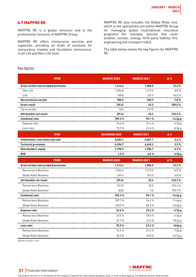### <span id="page-30-0"></span>6.7 MAPFRE RE

MAPFRE RE is a global reinsurer and is the professional reinsurer of MAPFRE Group.

MAPFRE RE offers reinsurance services and capacities, providing all kinds of solutions for reinsurance treaties and facultative reinsurance, in all Life and Non-Life lines.

MAPFRE RE also includes the Global Risks Unit, which is the specialized unit within MAPFRE Group for managing global multinational insurance programs (for example, policies that cover aviation, nuclear, energy, third party liability, fire, engineering and transport risks).

The table below shows the key figures for MAPFRE RE.

#### Key figures

| <b>ITEM</b>                         | <b>MARCH 2020</b>    | <b>MARCH 2021</b> | Δ%          |
|-------------------------------------|----------------------|-------------------|-------------|
| Gross written and accepted premiums | 1,413.6              | 1,586.5           | 12.2%       |
| - Non-Life                          | 1,304.8              | 1,419.0           | 8.8%        |
| - Life                              | 108.8                | 167.5             | 54.0%       |
| Net premiums earned                 | 705.9                | 760.7             | 7.8%        |
| <b>Gross result</b>                 | (39.4)               | 43.2              | 209.6%      |
| Tax on profits                      | 10.0                 | (10.7)            |             |
| Attributable net result             | (29.4)               | 32.4              | 210.3%      |
| <b>Combined ratio</b>               | 109.3%               | 95.1%             | $-14.2p.p.$ |
| Expense ratio                       | 33.4 %               | 27.6%             | $-5.7p.p.$  |
| Loss ratio                          | 75.9%                | 67.4%             | $-8.5p.p.$  |
| <b>ITEM</b>                         | <b>DECEMBER 2020</b> | <b>MARCH 2021</b> | Δ%          |
| Investments, real estate and cash   | 5,303.1              | 5,481.1           | 3.4%        |
| <b>Technical provisions</b>         | 6,396.7              | 6,645.3           | 3.9%        |
| Shareholders' equity                | 1,770.9              | 1,783.7           | 0.7%        |
| <b>ROE</b>                          | 1.0%                 | 4.6 %             | 3.7p.p.     |
|                                     |                      |                   |             |
| <b>ITEM</b>                         | <b>MARCH 2020</b>    | <b>MARCH 2021</b> | Δ%          |
| Gross written and accepted premiums | 1,413.6              | 1,586.5           | 12.2%       |
| Reinsurance Business                | 1,064.2              | 1,213.5           | 14.0%       |
| <b>Global Risks Business</b>        | 349.4                | 373.0             | 6.8%        |
| Attributable net result             | (29.4)               | 32.4              | 210.3%      |
| Reinsurance Business                | (21.5)               | 25.0              | 216.4%      |
| Global Risks Business               | [8.0]                | 7.5               | 193.7%      |
| <b>Combined ratio</b>               | 109.3%               | 95.1%             | -14.2p.p.   |
| Reinsurance Business                | 107.7%               | 96.2%             | $-11.6p.p.$ |
| <b>Global Risks Business</b>        | 128.3%               | 83.3%             | $-45.0p.p.$ |
| <b>Expense ratio</b>                | 33.4%                | 27.6%             | -5.7p.p.    |
| Reinsurance Business                | 33.5%                | 29.0%             | $-4.6p.p.$  |
| <b>Global Risks Business</b>        | 31.7%                | 13.5%             | $-18.2p.p.$ |
| Loss ratio                          | 75.9%                | 67.4%             | -8.5p.p.    |
| Reinsurance Business                | 74.2%                | 67.2%             | $-7.0p.p.$  |

Figures in million euros

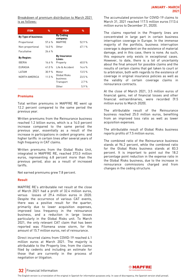Breakdown of premium distribution to March 2021 is as follows:

| <b>ITEM</b>          | %      | <b>ITEM</b>                   | %      |
|----------------------|--------|-------------------------------|--------|
| By Type of business: |        | <b>By Ceding</b><br>company:  |        |
| Proportional         | 576%   | <b>MAPFRF</b>                 | 529%   |
| Non-proportional     | 16.0%  | 0ther                         | 47.1%  |
| Facultative          | 26.4%  |                               |        |
| <b>By Region:</b>    |        | <b>By Insurance</b><br>Lines: |        |
| <b>IBERIA</b>        | 16.6%  | Property                      | 40.0%  |
| <b>FURASIA</b>       | 41 በ % | Life & Accident               | 144%   |
| I ATAM               | 309%   | Motor                         | 13.5%  |
| NORTH AMFRICA        | 11 5 % | Global Risks<br>business      | 23.5 % |
|                      |        | Transport                     | 2.7%   |
|                      |        | Other                         | 5.9%   |

#### **Premiums**

Total written premiums in MAPFRE RE went up 12.2 percent compared to the same period the previous year.

Written premiums from the Reinsurance business reached 1.2 billion euros, which is a 14.0 percent increase compared to the same period the previous year, essentially as a result of the increase in participations in cedent programs and higher tariffs in certain lines after several years of high frequency in CAT claims.

Written premiums from the Global Risks Unit, integrated in MAPFRE RE, reached 373.0 million euros, representing 6.8 percent more than the previous period, also as a result of increased tariffs.

Net earned premiums grew 7.8 percent.

#### **Result**

MAPFRE RE's attributable net result at the close of March 2021 had a profit of 32.4 million euros, versus losses of 29.4 million euros in 2020. Despite the occurrence of various CAT events, there was a positive result for the quarter, primarily due to lower acquisition expenses, improved loss frequency in the reinsurance business, and a reduction in large losses particularly in the Global Risks unit. To March 2021, the only relevant CAT claim that has been reported was Filomena snow storm, for the amount of 15.7 million euros, net of reinsurance.

Direct incurred claims from COVID-19 reached 4.1 million euros at March 2021. The majority is attributable to the Property line, from the claims filed by cedents and including an estimate for those that are currently in the process of negotiation or litigation.

The accumulated provision for COVID-19 claims to March 31, 2021 reached 117.5 million euros (113.4 million euros to December 31, 2020).

The claims reported in the Property lines are concentrated in large part in certain business interruption coverage in Europe. In the immense majority of the portfolio, business interruption coverage is dependent on the existence of material damage, and in this case, there is none. As such, this exposure only exists in exceptional cases. However, to date, there is a lot of uncertainty about the final amount for possible claims and the results of certain claims that get taken to court or to arbitration, both with regards to the existence of coverage in original insurance policies as well as the validity of certain coverage claims in reinsurance contracts.

At the close of March 2021, 3.5 million euros of financial gains, net of financial losses and other financial extraordinaries, were recorded (9.5 million euros to March 2020).

The attributable result of the Reinsurance business reached 25.0 million euros, benefiting from an improved loss ratio as well as lower acquisition expenses.

The attributable result of Global Risks business reports profits of 7.5 million euros.

The combined ratio of the Reinsurance business stands at 96.2 percent, while the combined ratio for the Global Risks business stands at 83.3 percent. It is important to point out the 18.2 percentage point reduction in the expense ratio in the Global Risks business, due to the increase in reinsurance commissions charged and from changes in the ceding structure.



### **32** Financial Information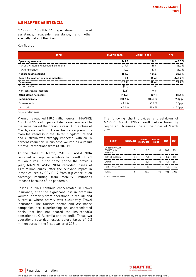### <span id="page-32-0"></span>6.8 MAPFRE ASISTENCIA

MAPFRE ASISTENCIA specializes in travel assistance, roadside assistance, and other specialty risks of the Group.

#### Key figures

| <b>ITEM</b>                           | <b>MARCH 2020</b> | <b>MARCH 2021</b> | $\Delta$ %  |
|---------------------------------------|-------------------|-------------------|-------------|
| <b>Operating revenue</b>              | 249.8             | 136.2             | $-45.5%$    |
| - Gross written and accepted premiums | 219.7             | 118.6             | $-46.0%$    |
| - Other revenue                       | 30.2              | 17.6              | $-41.7%$    |
| Net premiums earned                   | 152.9             | 101.6             | $-33.5%$    |
| Result from other business activities | 5.1               | (2.4)             | $-146.7%$   |
| <b>Gross result</b>                   | (10.2)            | (0.6)             | 94.2%       |
| Tax on profits                        | (1.1)             | (1.0)             |             |
| Non-controlling interests             | [0.6]             | (0.5)             |             |
| Attributable net result               | (11.9)            | (2.1)             | 82.6%       |
| <b>Combined ratio</b>                 | 110.2%            | 100.3%            | -9.9p.p.    |
| Expense ratio                         | 43.1%             | 48.7%             | 5.5p.p.     |
| Loss ratio                            | 67.0%             | 51.6%             | $-15.4p.p.$ |

Figures in million euros

Premiums reached 118.6 million euros in MAPFRE ASISTENCIA, a 46.0 percent decrease compared to the same period the previous year. At the close of March, revenue from Travel Insurance premiums from InsureandGo in the United Kingdom, Ireland and Australia was strongly impacted, with an 85 percent reduction in business volume as a result of travel restrictions from COVID-19.

At the close of March, MAPFRE ASISTENCIA recorded a negative attributable result of 2.1 million euros. In the same period the previous year, MAPFRE ASISTENCIA recorded losses of 11.9 million euros, after the relevant impact in losses caused by COVID-19 from trip cancellation coverage resulting from mobility limitations imposed because of the pandemic.

Losses in 2021 continue concentrated in Travel insurance, after the significant loss in premium volume, primarily from operations in the UK and Australia, where activity was exclusively Travel insurance. The tourism sector and Assistance companies are experiencing an unprecedented crisis that has not spared the InsureandGo operations (UK, Australia and Ireland). These two operations recorded losses before taxes of 5.2 million euros in the first quarter of 2021.

The following chart provides a breakdown of MAPFRE ASISTENCIA's result before taxes, by region and business line at the close of March 2021:

| <b>REGION</b>                                           | <b>ASSISTANCE</b> | <b>TRAVEL</b><br><b>INSURANCE</b> | <b>SPECIAL</b><br><b>RISKS</b> | 2021  | 2020   |
|---------------------------------------------------------|-------------------|-----------------------------------|--------------------------------|-------|--------|
| UNITED KINGDOM.<br><b>FRANCE AND</b><br><b>BEI GIUM</b> | 0.1               | (3.7)                             | 0.0                            | (3.6) | (8.3)  |
| <b>REST OF FURASIA</b>                                  | 0.8               | (1.8)                             | 1.4                            | 0.4   | (2.5)  |
| I ATAM                                                  | 0.7               | (0.1)                             | 0.5                            | 1.1   | (1.4)  |
| NORTH AMFRICA                                           | 0.1               | 0.2                               | 1.1                            | 1.4   | 2.0    |
| <b>TOTAL</b>                                            | 1.6               | (5.4)                             | 3.2                            | (0.6) | (10.2) |

Figures in million euros



**33** Financial Information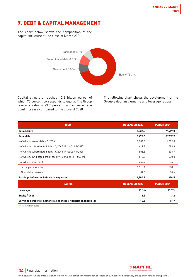# <span id="page-33-0"></span>7. DEBT & CAPITAL MANAGEMENT

The chart below shows the composition of the capital structure at the close of March 2021:



Capital structure reached 12.6 billion euros, of which 76 percent corresponds to equity. The Group leverage ratio is 23.7 percent, a 0.4 percentage point increase compared to the close of 2020.

The following chart shows the development of the Group's debt instruments and leverage ratios:

| <b>ITEM</b>                                                       | <b>DECEMBER 2020</b> | <b>MARCH 2021</b> |
|-------------------------------------------------------------------|----------------------|-------------------|
| <b>Total Equity</b>                                               | 9,837.8              | 9,617.0           |
| <b>Total debt</b>                                                 | 2,993.6              | 2,982.9           |
| - of which: senior debt - 5/2026                                  | 1,004.8              | 1,009.8           |
| - of which: subordinated debt - 3/2047 (First Call 3/2027)        | 617.8                | 598.3             |
| - of which: subordinated debt - 9/2048 (First Call 9/2028)        | 503.3                | 508.7             |
| - of which: syndicated credit facility - 02/2025 (€ 1,000 M)      | 610.0                | 630.0             |
| - of which: bank debt                                             | 257.7                | 236.1             |
| Earnings before tax                                               | 1,118.4              | 308.1             |
| <b>Financial expenses</b>                                         | 82.4                 | 18.4              |
| Earnings before tax & financial expenses                          | 1,200.8              | 326.5             |
| <b>RATIOS</b>                                                     | <b>DECEMBER 2020</b> | <b>MARCH 2021</b> |
| Leverage                                                          | 23.3%                | 23.7%             |
| <b>Equity / Debt</b>                                              | 3.3                  | 3.2               |
| Earnings before tax & financial expenses / financial expenses (x) | 14.6                 | 17.7              |

Figures in million euros



**34** Financial Information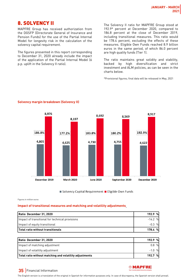# <span id="page-34-0"></span>8. SOLVENCY II

MAPFRE Group has received authorization from the DGSFP (Directorate General of Insurance and Pension Funds) for the use of the Partial Internal Model for longevity risk in the calculation of the solvency capital requirement.

The figures presented in this report corresponding to December 31, 2020 already include the impact of the application of the Partial Internal Model (6 p.p. uplift in the Solvency II ratio).

The Solvency II ratio for MAPFRE Group stood at 192.9\* percent at December 2020, compared to 186.8 percent at the close of December 2019, including transitional measures. This ratio would be 178.4 percent, excluding the effects of these measures. Eligible Own Funds reached 8.9 billion euros in the same period, of which 86.0 percent are high quality funds (Tier 1).

The ratio maintains great solidity and stability, backed by high diversification and strict investment and ALM policies, as can be seen in the charts below.

\*Provisional figures; final data will be released in May, 2021



### **Solvency margin breakdown (Solvency II)**

Solvency Capital Requirement Eligible Own Funds

Figures in million euros

#### **Impact of transitional measures and matching and volatility adjustments**

| Ratio December 31, 2020                                 | 192.9%         |
|---------------------------------------------------------|----------------|
| Impact of transitional for technical provisions         | $-14.2%$       |
| Impact of equity transitional                           | $-0.3$<br>$\%$ |
| Total ratio without transitionals                       | 178.4 %        |
|                                                         |                |
| Ratio December 31, 2020                                 | 192.9%         |
| Impact of matching adjustment                           | 0.8%           |
| Impact of volatility adjustment                         | $-1.0%$        |
| Total ratio without matching and volatility adjustments | 192.7<br>%     |



# **35** Financial Information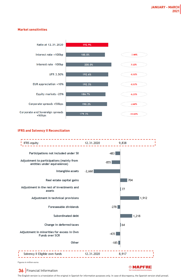#### **Market sensitivities**



#### **IFRS and Solvency II Reconciliation**



Figures in million euros

# **36** Financial Information

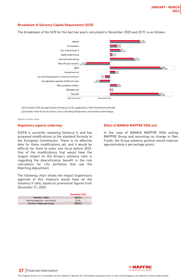#### **Breakdown of Solvency Capital Requirement (SCR)**

The breakdown of the SCR for the last two years calculated to December 2020 and 2019, is as follows:



(1) December 2020 already includes the impact of the application of the Partial Internal Model. (2) Includes other financial sectors, non-controlled participations and residual undertakings.

Figures in million euros

#### **Regulatory aspects underway**

EIOPA is currently reviewing Solvency II, and has proposed modifications to the standard formula to the European Commission. There is no effective date for these modifications yet, and it would be difficult for them to enter into force before 2023. One of the modifications that would have the largest impact on the Group's solvency ratio is regarding the diversification benefit in the risk calculation for Life portfolios that use the Matching Adjustment.

The following chart shows the impact Supervisory approval of this measure would have on the Solvency II ratio, based on provisional figures from December 31, 2020:

|                                       | December 2020 |
|---------------------------------------|---------------|
| <b>Solvency II Ratio</b>              | 192.9%        |
| Matching adjustment - diversification | 6.5%          |
| Solvency II Ratio (pro-forma)         | 199.4%        |

#### **Effect of BANKIA MAPFRE VIDA exit**

In the case of BANKIA MAPFRE VIDA exiting MAPFRE Group and assuming no change in Own Funds, the Group solvency position would improve approximately 6 percentage points.



**37** Financial Information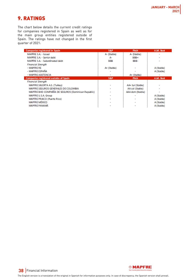# <span id="page-37-0"></span>9. RATINGS

The chart below details the current credit ratings for companies registered in Spain as well as for the main group entities registered outside of Spain. The ratings have not changed in the first quarter of 2021:

| <b>Companies registered in Spain</b>                | S&P         | <b>Fitch</b>     | A.M. Best  |
|-----------------------------------------------------|-------------|------------------|------------|
| MAPFRE S.A. - Issuer                                | A- (Stable) | A- (Stable)      |            |
| MAPFRE S.A. - Senior debt                           | А-          | BBB+             |            |
| MAPFRE S.A. - Subordinated debt                     | <b>BBB</b>  | BBB-             |            |
| <b>Financial Strenath</b>                           |             |                  |            |
| - MAPFRE RE                                         | A+ (Stable) |                  | A (Stable) |
| - MAPERE ESPAÑA                                     |             | ٠                | A (Stable) |
| - MAPFRE ASISTENCIA                                 |             | A+ (Stable)      |            |
| <b>Companies registered outside of Spain</b>        | S&P         | <b>Fitch</b>     | A.M. Best  |
| <b>Financial Strength</b>                           |             |                  |            |
| MAPFRE SIGORTA A.S. (Turkey)                        |             | AA+ tur (Stable) |            |
| MAPFRE SEGUROS GENERALES DE COLOMBIA                |             | AA col (Stable)  |            |
| MAPFRE BHD COMPAÑÍA DE SEGUROS (Dominican Republic) |             | AAA dom (Stable) | ۰          |
| MAPFRE U.S.A. Group                                 |             |                  | A (Stable) |
| MAPFRE PRAICO (Puerto Rico)                         |             |                  | A (Stable) |
| MAPERE MÉXICO                                       |             |                  | A (Stable) |
| <b>MAPERE PANAMA</b>                                |             |                  | A (Stable) |



**38** Financial Information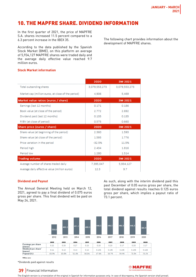# <span id="page-38-0"></span>10. THE MAPFRE SHARE. DIVIDEND INFORMATION

In the first quarter of 2021, the price of MAPFRE S.A. shares increased 11.5 percent compared to a 6.3 percent increase in the IBEX 35.

According to the data published by the Spanish Stock Market (BME), on this platform an average of 5,934,127 MAPFRE shares were traded daily and the average daily effective value reached 9.7 million euros.

#### **Stock Market information**

|                                                    | 2020          | 3M 2021       |
|----------------------------------------------------|---------------|---------------|
| Total outsanding shares                            | 3,079,553,273 | 3,079,553,273 |
| Market cap (million euros, at close of the period) | 4,906         | 5,469         |
| Market value ratios (euros / share)                | 2020          | 3M 2021       |
| Earnings (last 12 months)                          | 0.171         | 0.186         |
| Book value (at close of the period)                | 2.772         | 2.692         |
| Dividend paid (last 12 months)                     | 0.135         | 0.135         |
| P/BV (at close of period)                          | 0.575         | 0.660         |
| Share price (euros / share)                        | 2020          | 3M 2021       |
| Share value (at beginning of the period)           | 2.360         | 1.593         |
| Share value (at close of the period)               | 1.593         | 1.776         |
| Price variation in the period                      | $-32.5%$      | 11.5%         |
| Period high                                        | 2.434         | 1.816         |
| Period low                                         | 1.280         | 1.514         |
| <b>Trading volume</b>                              | 2020          | 3M 2021       |
| Average number of shares traded daily              | 7,395,047     | 5,934,127     |
| Average daily effective value (million euros)      | 12.3          | 9.7           |

#### **Dividend and Payout**

The Annual General Meeting held on March 12, 2021, agreed to pay a final dividend of 0.075 euros gross per share. This final dividend will be paid on May 24, 2021.

As such, along with the interim dividend paid this past December of 0.05 euros gross per share, the total dividend against results reaches 0.125 euros gross per share, which implies a payout ratio of 73.1 percent.



Million euros

\*Dividends paid against results

# **39** Financial Information



The English version is a translation of the original in Spanish for information purposes only. In case of discrepancy, the Spanish version shall prevail.

The following chart provides information about the development of MAPFRE shares.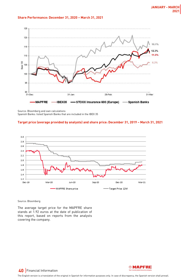#### **Share Performance: December 31, 2020 – March 31, 2021**



Source: Bloomberg and own calculations Spanish Banks: listed Spanish Banks that are included in the IBEX 35

#### **Target price (average provided by analysts) and share price: December 31, 2019 – March 31, 2021**



Source: Bloomberg

The average target price for the MAPFRE share stands at 1.92 euros at the date of publication of this report, based on reports from the analysts covering the company.



# **40** Financial Information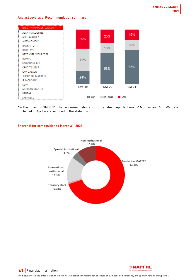#### **Analyst coverage: Recommendation summary**



\*In this chart, in 3M 2021, the recommendations from the latest reports from JP Morgan and AlphaValue – published in April – are included in the statistics.



#### **Shareholder composition to March 31, 2021**



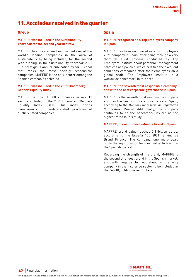# <span id="page-41-0"></span>11. Accolades received in the quarter

#### **Group**

#### **MAPFRE was included in the Sustainability Yearbook for the second year in a row**

MAPFRE has once again been named one of the world's leading companies in the area of sustainability by being included, for the second year running, in the Sustainability Yearbook 2021 — a prestigious annual publication by S&P Global that ranks the most socially responsible companies. MAPFRE is the only insurer among the Spanish companies selected.

#### **MAPFRE was included in the 2021 Bloomberg Gender-Equality Index**

MAPFRE is one of 380 companies across 11 sectors included in the 2021 Bloomberg Gender-Equality Index (GEI). This index brings transparency to gender-related practices at publicly listed companies.

### **Spain**

#### **MAPFRE recognized as a Top Employers company in Spain**

MAPFRE has been recognized as a Top Employers 2021 company in Spain, after going through a very thorough audit process conducted by Top Employers Institute about personnel management practices and policies, which certifies the excellent conditions companies offer their employees on a global scale. Top Employers Institute is a worldwide benchmark in this area.

#### **MAPFRE, the seventh most responsible company, and with the best corporate governance in Spain**

MAPFRE is the seventh most responsible company and has the best corporate governance in Spain, according to the Monitor Empresarial de Reputación Corporativa (Merco). Additionally, the company continues to be the benchmark insurer as the highest rated in this study.

#### **MAPFRE, the eight most valuable brand in Spain**

MAPFRE brand value reaches 3.1 billion euros, according to the España 100 2021 ranking by Brand Finance. The company, one more year, holds the eight position for most valuable brand in the Spanish market.

Regarding the strength of the brand, MAPFRE is the second strongest brand in the Spanish market, and with regards to reputation, is the only company in the insurance sector to be included in the Top 10, holding seventh place.

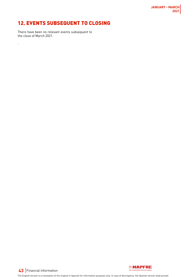# <span id="page-42-0"></span>12. EVENTS SUBSEQUENT TO CLOSING

There have been no relevant events subsequent to the close of March 2021.

.



**43** Financial Information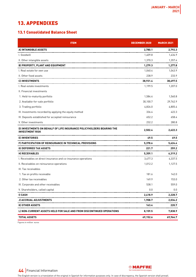# <span id="page-43-0"></span>13. APPENDIXES

# 13.1 Consolidated Balance Sheet

| <b>ITEM</b>                                                                             | <b>DECEMBER 2020</b> | <b>MARCH 2021</b> |
|-----------------------------------------------------------------------------------------|----------------------|-------------------|
| A) INTANGIBLE ASSETS                                                                    | 2,780.1              | 2,792.3           |
| I. Goodwill                                                                             | 1,409.8              | 1,434.9           |
| II. Other intangible assets                                                             | 1,370.3              | 1,357.4           |
| <b>B) PROPERTY, PLANT AND EQUIPMENT</b>                                                 | 1,279.3              | 1,277.8           |
| I. Real estate for own use                                                              | 1,040.4              | 1,043.9           |
| II. Other fixed assets                                                                  | 238.9                | 233.9             |
| <b>CI INVESTMENTS</b>                                                                   | 38,931.4             | 38,697.5          |
| I. Real estate investments                                                              | 1,199.5              | 1,207.0           |
| II. Financial investments                                                               |                      |                   |
| 1. Held-to-maturity portfolio                                                           | 1,584.4              | 1,560.8           |
| 2. Available-for-sale portfolio                                                         | 30,100.7             | 29,762.9          |
| 3. Trading portfolio                                                                    | 4,826.0              | 4,805.4           |
| III. Investments recorded by applying the equity method                                 | 336.4                | 422.3             |
| IV. Deposits established for accepted reinsurance                                       | 652.2                | 658.4             |
| V. Other investments                                                                    | 232.2                | 280.8             |
| D) INVESTMENTS ON BEHALF OF LIFE INSURANCE POLICYHOLDERS BEARING THE<br>INVESTMENT RISK | 2,502.4              | 2,622.3           |
| E) INVENTORIES<br>-----------------------------------                                   | 49.5                 | 49.5              |
| F) PARTICIPATION OF REINSURANCE IN TECHNICAL PROVISIONS<br>---------------------------- | 5,378.6              | 5,624.4           |
| G) DEFERRED TAX ASSETS                                                                  | 221.7                | 259.2             |
| <b>HI RECEIVABLES</b><br>------------------------------------                           | 5,359.1              | 6,319.2           |
| I. Receivables on direct insurance and co-insurance operations                          | 3,477.3              | 4,337.5           |
| II. Receivables on reinsurance operations                                               | 1,012.2              | 1,127.5           |
| III. Tax receivables                                                                    |                      |                   |
| 1. Tax on profits receivable                                                            | 181.6                | 142.0             |
| 2. Other tax receivables                                                                | 149.9                | 153.0             |
| IV. Corporate and other receivables                                                     | 538.1                | 559.0             |
| V. Shareholders, called capital                                                         | 0.0                  | 0.0               |
| I) CASH                                                                                 | 2,418.9              | 2,228.7           |
| J) ACCRUAL ADJUSTMENTS                                                                  | 1,908.7              | 2,034.2           |
| K) OTHER ASSETS                                                                         | 163.4                | 220.7             |
| L) NON-CURRENT ASSETS HELD FOR SALE AND FROM DISCONTINUED OPERATIONS                    | 8,159.5              | 7,838.9           |
| <b>TOTAL ASSETS</b>                                                                     | 69,152.6             | 69,964.7          |

Figures in million euros



**44** Financial Information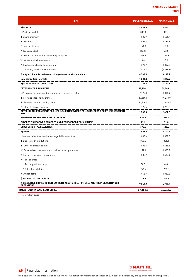| <b>ITEM</b>                                                                                          | <b>DECEMBER 2020</b> | <b>MARCH 2021</b> |
|------------------------------------------------------------------------------------------------------|----------------------|-------------------|
| AI EQUITY                                                                                            | 9,837.8              | 9,617.0           |
| I. Paid-up capital                                                                                   | 308.0                | 308.0             |
| II. Share premium                                                                                    | 1,506.7              | 1,506.7           |
| III. Reserves                                                                                        | 7,057.2              | 7,192.8           |
| IV. Interim dividend                                                                                 | (154.0)              | 0.0               |
| V. Treasury Stock                                                                                    | (63.4)               | (63.0)            |
| VI. Result attributable to controlling company                                                       | 526.5                | 173.3             |
| VII. Other equity instruments                                                                        | 0.0                  | 0.0               |
| VIII. Valuation change adjustments                                                                   | 1,270.7              | 1,007.8           |
| IX. Currency conversion differences                                                                  | (1, 915.7)           | (1,836.6)         |
| Equity attributable to the controlling company's shareholders                                        | 8,536.0              | 8,289.1           |
| Non-controlling interests                                                                            | 1,301.8              | 1,327.9           |
| <b>B) SUBORDINATED LIABILITIES</b>                                                                   | 1,121.6              | 1,107.1           |
| C) TECHNICAL PROVISIONS                                                                              | 39,190.1             | 39,980.1          |
| I. Provisions for unearned premiums and unexpired risks                                              | 7,195.3              | 8,001.4           |
| II. Provisions for life insurance                                                                    | 19,588.9             | 19,268.0          |
| III. Provision for outstanding claims                                                                | 11,210.5             | 11,490.5          |
| IV. Other technical provisions                                                                       | 1,195.5              | 1,220.2           |
| D) TECHNICAL PROVISIONS FOR LIFE INSURANCE WHERE POLICYHOLDERS BEAR THE INVESTMENT<br><b>RISK</b>    | 2,502.4              | 2,622.3           |
| EI PROVISIONS FOR RISKS AND EXPENSES                                                                 | 582.6                | 525.2             |
| F) DEPOSITS RECEIVED ON CEDED AND RETROCEDED REINSURANCE                                             | 71.6                 | 91.0              |
| G) DEFERRED TAX LIABILITIES                                                                          | 670.6                | 615.0             |
| H) DEBT                                                                                              | 7,593.3              | 8,142.5           |
| I. Issue of debentures and other negotiable securities                                               | 1,005.6              | 1,009.8           |
| II. Due to credit institutions                                                                       | 866.4                | 866.1             |
| III. Other financial liabilities                                                                     | 1,596.7              | 1,685.8           |
| IV. Due on direct insurance and co-insurance operations                                              | 951.0                | 1,003.2           |
| V. Due on reinsurance operations                                                                     | 1,305.9              | 1,402.4           |
| VI. Tax liabilities                                                                                  |                      |                   |
| 1. Tax on profits to be paid                                                                         | 58.5                 | 68.8              |
| 2. Other tax liabilities                                                                             | 246.5                | 286.3             |
| VII. Other debts                                                                                     | 1,562.7              | 1,820.2           |
| I) ACCRUAL ADJUSTMENTS                                                                               | 318.6                | 345.1             |
| J) LIABILITIES LINKED TO NON-CURRENT ASSETS HELD FOR SALE AND FROM DISCONTINUED<br><b>OPERATIONS</b> | 7,263.9              | 6,919.3           |
| <b>TOTAL EQUITY AND LIABILITIES</b>                                                                  | 69,152.6             | 69,964.7          |

Figures in million euros



**45** Financial Information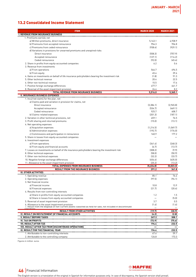# 13.2 Consolidated Income Statement

| <b>ITEM</b>                                                                                                                                                   | <b>MARCH 2020</b> | <b>MARCH 2021</b> |
|---------------------------------------------------------------------------------------------------------------------------------------------------------------|-------------------|-------------------|
| <b>I. REVENUE FROM INSURANCE BUSINESS</b>                                                                                                                     |                   |                   |
| 1. Premiums earned, net                                                                                                                                       |                   |                   |
| a) Written premiums, direct insurance                                                                                                                         | 5,143.1           | 4,938.9           |
| b) Premiums from accepted reinsurance                                                                                                                         | 954.3             | 956.8             |
| c) Premiums from ceded reinsurance                                                                                                                            | (938.4)           | (929.1)           |
| d) Variations in provisions for unearned premiums and unexpired risks                                                                                         |                   |                   |
| Direct insurance                                                                                                                                              | (558.3)           | (757.9)           |
| Accepted reinsurance                                                                                                                                          | (127.1)           | (114.2)           |
| Ceded reinsurance                                                                                                                                             | (92.0)            | (45.4)            |
| 2. Share in profits from equity-accounted companies                                                                                                           | 6.2               | 0.6               |
| 3. Revenue from investments                                                                                                                                   |                   |                   |
| a) From operations                                                                                                                                            | 546.7             | 494.5             |
| b) From equity                                                                                                                                                | 45.4              | 39.6              |
| 4. Gains on investments on behalf of life insurance policyholders bearing the investment risk<br>5. Other technical revenue                                   | (1.8)<br>20.4     | 91.3<br>22.5      |
| 6. Other non-technical revenue                                                                                                                                | 15.5              | 17.6              |
| 7. Positive foreign exchange differences                                                                                                                      | 477.7             | 641.7             |
| 8. Reversal of the asset impairment provision                                                                                                                 | 24.4              | 8.2               |
| <b>TOTAL REVENUE FROM INSURANCE BUSINESS</b>                                                                                                                  | 5,516.0           | 5,365.1           |
| <b>II. INSURANCE BUSINESS EXPENSES</b>                                                                                                                        |                   |                   |
| 1. Incurred claims for the year, net                                                                                                                          |                   |                   |
| a) Claims paid and variation in provision for claims, net                                                                                                     |                   |                   |
| Direct insurance                                                                                                                                              | (3,386.1)         | [2,965.8]         |
| Accepted reinsurance                                                                                                                                          | (534.7)           | [469.1]           |
| Ceded reinsurance                                                                                                                                             | 925.7             | 608.7             |
| b) Claims-related expenses                                                                                                                                    | [201.3]           | (187.1)           |
| 2. Variation in other technical provisions, net                                                                                                               | 459.1             | 76.5              |
| 3. Profit sharing and returned premiums                                                                                                                       | (15.0)            | (13.1)            |
| 4. Net operating expenses                                                                                                                                     |                   |                   |
| a) Acquisition expenses                                                                                                                                       | (1, 214.5)        | (1,069.7)         |
| b) Administration expenses                                                                                                                                    | (192.7)           | (176.0)           |
| c) Commissions and participation in reinsurance                                                                                                               | 160.9             | 177.2             |
| 5. Share in losses from equity-accounted companies                                                                                                            |                   |                   |
| 6. Investment expenses                                                                                                                                        |                   |                   |
| a) From operations                                                                                                                                            | [341.4]           | [248.3]           |
| b) From equity and financial accounts                                                                                                                         | (6.7)             | (13.7)            |
| 7. Losses on investments on behalf of life insurance policyholders bearing the investment risk                                                                | (308.2)<br>(58.0) | (9.9)<br>(50.9)   |
| 8. Other technical expenses<br>9. Other non-technical expenses                                                                                                | (32.2)            | (33.7)            |
| 10. Negative foreign exchange differences                                                                                                                     | (454.6)           | (635.0)           |
| 11. Allowance to the asset impairment provision                                                                                                               | (25.2)            | (13.2)            |
| <b>TOTAL EXPENSES FROM INSURANCE BUSINESS</b>                                                                                                                 | (5, 224.8)        | (5,023.3)         |
| <b>RESULT FROM THE INSURANCE BUSINESS</b>                                                                                                                     | 291.2             | 341.8             |
| III. OTHER ACTIVITIES                                                                                                                                         |                   |                   |
| 1. Uperating revenue                                                                                                                                          | 85. I             | 16.4              |
| 2. Operating expenses                                                                                                                                         | (97.5)            | (96.1)            |
| 3. Net financial income                                                                                                                                       |                   |                   |
| al Financial income                                                                                                                                           | 10.8              | 13.9              |
| b) Financial expenses                                                                                                                                         | (21.7)            | (20.4)            |
| 4. Results from non-controlling interests                                                                                                                     |                   |                   |
| a) Share in profits from equity-accounted companies                                                                                                           | 1.2               | 1.5               |
| b) Share in losses from equity-accounted companies                                                                                                            |                   | (5.0)             |
| 5. Reversal of asset impairment provision                                                                                                                     | 3.7               | 0.5               |
| 6. Allowance to the asset impairment provision<br>7. Result from the disposal of non-current assets classified as held for sale, not included in discontinued | (1.4)             | (1.6)             |
| <b>RESULT FROM OTHER ACTIVITIES</b>                                                                                                                           | (19.7)            | (30.9)            |
| IV. RESULT ON RESTATEMENT OF FINANCIAL ACCOUNTS                                                                                                               | (4.2)             | (2.8)             |
| <b>V. RESULT BEFORE TAXES</b>                                                                                                                                 | 267.3             | 308.1             |
| <b>VI. TAX ON PROFITS</b>                                                                                                                                     | (72.9)            | (75.6)            |
| <b>VII. RESULT AFTER TAX</b>                                                                                                                                  | 194.4             | 232.5             |
| VIII. RESULT AFTER TAX FROM DISCONTINUED OPERATIONS                                                                                                           |                   |                   |
| IX. RESULT FOR THE FINANCIAL YEAR                                                                                                                             | 194.4             | 232.5             |
| 1. Attributable to non-controlling interests                                                                                                                  | 67.6              | 59.1              |
| 2. Attributable to the controlling company                                                                                                                    | 126.8             | 173.3             |

Figures in million euros

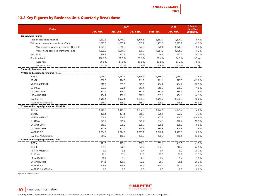# 13.3 Key Figures by Business Unit. Quarterly Breakdown

|                                          |           | 2020      | 2021       | ∆ Annual   |           |                        |
|------------------------------------------|-----------|-----------|------------|------------|-----------|------------------------|
| <b>Period</b>                            | Jan.-Mar. | Apr.-Jun. | Jul.-Sept. | Sept.-Dec. | Jan.-Mar. | Jan.-Mar.<br>2021/2020 |
| <b>Consolidated figures</b>              |           |           |            |            |           |                        |
| Total consolidated revenue               | 7,332.8   | 5,944.2   | 5,774.5    | 6,367.7    | 7,304.0   | $-0.4%$                |
| Written and accepted premiums - Total    | 6,097.5   | 4,885.2   | 4,567.2    | 4,932.3    | 5,895.7   | $-3.3%$                |
| Written and accepted premiums - Non-Life | 4,897.5   | 3,865.3   | 3,676.5    | 3,670.4    | 4,770.0   | $-2.6%$                |
| Written and accepted premiums - Life     | 1,200.0   | 1,019.9   | 890.7      | 1,261.8    | 1,125.7   | $-6.2%$                |
| Net result                               | 126.8     | 143.9     | 179.8      | 76.1       | 173.3     | 36.7%                  |
| Combined ratio                           | 100.0%    | 93.1%     | 92.3%      | 93.4%      | 94.3%     | $-5.7p.p.$             |
| Loss ratio                               | 70.8%     | 64.0%     | 63.8%      | 63.5%      | 66.3%     | $-4.5p.p.$             |
| Expense ratio                            | 29.2%     | 29.1%     | 28.4 %     | 29.8%      | 28.0%     | $-1.2p.p.$             |
| <b>Figures by business unit</b>          |           |           |            |            |           |                        |
| Written and accepted premiums - Total    |           |           |            |            |           |                        |
| <b>IBERIA</b>                            | 2,415.2   | 1,562.5   | 1,335.1    | 1,686.0    | 2,485.0   | 2.9%                   |
| <b>BRAZIL</b>                            | 838.0     | 774.0     | 761.9      | 711.4      | 729.0     | $-13.0%$               |
| NORTH AMERICA                            | 510.5     | 605.3     | 527.8      | 454.2      | 454.7     | $-10.9%$               |
| <b>EURASIA</b>                           | 473.2     | 302.6     | 347.4      | 360.3      | 430.7     | $-9.0%$                |
| LATAM SOUTH                              | 371.1     | 355.7     | 361.3      | 362.4      | 385.5     | 3.9%                   |
| LATAM NORTH                              | 484.2     | 402.4     | 318.6      | 369.4      | 454.6     | $-6.1%$                |
| <b>MAPFRE RE</b>                         | 1,413.6   | 1,496.4   | 1,308.8    | 1,467.7    | 1,586.5   | 12.2%                  |
| MAPFRE ASISTENCIA                        | 219.7     | 118.0     | 156.0      | 125.3      | 118.6     | $-46.0%$               |
| Written and accepted premiums - Non-Life |           |           |            |            |           |                        |
| <b>IBERIA</b>                            | 1,943.8   | 1,147.0   | 1,054.5    | 1,176.6    | 2,021.7   | 4.0%                   |
| <b>BRAZIL</b>                            | 500.5     | 501.5     | 468.7      | 405.1      | 482.2     | $-3.7%$                |
| NORTH AMERICA                            | 509.6     | 604.7     | 527.4      | 453.8      | 454.5     | $-10.8%$               |
| <b>EURASIA</b>                           | 393.9     | 249.2     | 275.9      | 284.8      | 340.7     | $-13.5%$               |
| LATAM SOUTH                              | 310.7     | 298.2     | 308.7      | 306.5      | 326.3     | 5.0%                   |
| <b>LATAM NORTH</b>                       | 342.6     | 301.5     | 225.9      | 280.6      | 355.9     | 3.9%                   |
| MAPFRE RE                                | 1,304.8   | 1,376.8   | 1,209.1    | 1,242.2    | 1,419.0   | 8.8%                   |
| <b>MAPFRE ASISTENCIA</b>                 | 219.7     | 118.0     | 156.0      | 125.3      | 118.6     | $-46.0%$               |
| Written and accepted premiums - Life     |           |           |            |            |           |                        |
| <b>IBERIA</b>                            | 471.5     | 415.4     | 280.6      | 509.4      | 463.3     | $-1.7%$                |
| <b>BRAZIL</b>                            | 337.5     | 272.5     | 293.2      | 306.3      | 246.9     | $-26.9%$               |
| NORTH AMERICA                            | 0.9       | 0.6       | 0.4        | 0.4        | 0.2       | $-76.7%$               |
| <b>EURASIA</b>                           | 79.4      | 53.4      | 71.5       | 75.5       | 89.9      | 13.3%                  |
| LATAM SOUTH                              | 60.4      | 57.5      | 52.5       | 55.9       | 59.2      | $-1.9%$                |
| LATAM NORTH                              | 141.6     | 100.9     | 92.8       | 88.9       | 98.6      | $-30.3%$               |
| MAPFRE RE                                | 108.8     | 119.6     | 99.7       | 225.5      | 167.5     | 54.0%                  |
| MAPFRE ASISTENCIA                        | 0.0       | 0.0       | 0.0        | 0.0        | 0.0       | 0.0%                   |

Figures in million euros

**47** Financial Information

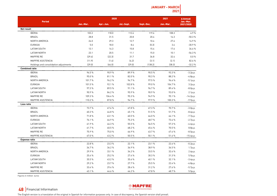# **JANUARY - MARCH 2021**

|                                        |           | 2020      |            |            | 2021      | ∆ Annual               |
|----------------------------------------|-----------|-----------|------------|------------|-----------|------------------------|
| <b>Period</b>                          | Jan.-Mar. | Apr.-Jun. | Jul.-Sept. | Sept.-Dec. | Jan.-Mar. | Jan.-Mar.<br>2021/2020 |
| Net result                             |           |           |            |            |           |                        |
| <b>IBERIA</b>                          | 103.2     | 118.0     | 112.6      | 119.6      | 108.3     | 4.9%                   |
| <b>BRAZIL</b>                          | 28.8      | 31.5      | 20.8       | 20.4       | 14.3      | $-50.3%$               |
| NORTH AMERICA                          | 24.0      | 29.3      | 12.7       | 10.4       | 27.6      | 14.9%                  |
| <b>EURASIA</b>                         | 5.0       | 18.0      | 8.4        | [0.3]      | 3.4       | $-30.9%$               |
| LATAM SOUTH                            | 13.1      | 14.3      | 15.8       | 15.4       | 17.6      | 34.6%                  |
| LATAM NORTH                            | 23.1      | 20.5      | 11.1       | 15.0       | 10.1      | $-56.3%$               |
| MAPFRE RE                              | [29.4]    | [22.3]    | 31.7       | 36.8       | 32.4      | 0.0%                   |
| MAPFRE ASISTENCIA                      | (11.9)    | (1.4)     | (4.2)      | (3.1)      | (2.1)     | 82.6%                  |
| Holdings and consolidation adjustments | (29.0)    | (64.0)    | (29.0)     | (138.2)    | (38.3)    | $-32.2%$               |
| <b>Combined ratio</b>                  |           |           |            |            |           |                        |
| <b>IBERIA</b>                          | 96.5%     | 90.9%     | 89.9%      | 90.5%      | 93.3 %    | $-3.2p.p.$             |
| <b>BRAZIL</b>                          | 95.0%     | 81.1%     | 82.0%      | 90.3%      | 88.2 %    | -6.8p.p.               |
| NORTH AMERICA                          | 101.7%    | 96.2%     | 94.7%      | 97.5%      | 96.6%     | $-5.1p.p.$             |
| <b>EURASIA</b>                         | 101.5%    | 92.1%     | 102.8%     | 99.0%      | 104.7%    | 3.2p.p.                |
| LATAM SOUTH                            | 97.3%     | 89.5%     | 91.1%      | 96.7%      | 89.4%     | $-8.0p.p.$             |
| LATAM NORTH                            | 90.9%     | 84.2%     | 95.9%      | 90.9%      | 93.0%     | 2.1p.p.                |
| MAPFRE RE                              | 109.3%    | 104.4 %   | 95.3%      | 94.9%      | 95.1%     | $-14.2p.p.$            |
| MAPFRE ASISTENCIA                      | 110.2%    | 87.8%     | 94.7%      | 97.9%      | 100.3%    | -9.9p.p.               |
| Loss ratio                             |           |           |            |            |           |                        |
| <b>IBERIA</b>                          | 73.7%     | 67.6%     | 67.8%      | 67.3%      | 70.7%     | $-3.0p.p.$             |
| <b>BRAZIL</b>                          | 60.3%     | 44.8%     | 45.1%      | 51.5%      | 51.7%     | $-8.6p.p.$             |
| NORTH AMERICA                          | 71.8%     | 63.1%     | 60.5%      | 64.0%      | 64.1%     | $-7.7p.p.$             |
| <b>EURASIA</b>                         | 76.1%     | 66.9%     | 75.3%      | 68.7%      | 73.4 %    | $-2.7p.p.$             |
| LATAM SOUTH                            | 61.9%     | 46.3%     | 55.5%      | 56.5%      | 57.3 %    | $-4.6p.p.$             |
| LATAM NORTH                            | 61.7%     | 60.5%     | 68.2%      | 65.4 %     | 70.5%     | 8.8p.p.                |
| MAPFRE RE                              | 75.9%     | 75.0%     | 66.9%      | 63.7%      | 67.4 %    | $-8.5p.p.$             |
| MAPFRE ASISTENCIA                      | 67.0%     | 43.2%     | 50.5%      | 50.1%      | 51.6 %    | -15.4p.p.              |
| <b>Expense ratio</b>                   |           |           |            |            |           |                        |
| <b>IBERIA</b>                          | 22.8%     | 23.3%     | 22.1%      | 23.1 %     | 22.6 %    | $-0.2p.p.$             |
| <b>BRAZIL</b>                          | 34.7%     | 36.2%     | 36.9%      | 38.9%      | 36.5%     | 1.7p.p.                |
| NORTH AMERICA                          | 29.9%     | 33.1%     | 34.2%      | 33.5 %     | 32.6 %    | 2.6p.p.                |
| <b>EURASIA</b>                         | 25.4%     | 25.2%     | 27.4 %     | 30.3%      | 31.3%     | 5.9p.p.                |
| LATAM SOUTH                            | 35.5%     | 43.2 %    | 35.6 %     | 40.1%      | 32.1 %    | $-3.4p.p.$             |
| LATAM NORTH                            | 29.2%     | 23.7%     | 27.7%      | 25.5%      | 22.4 %    | $-6.8p.p.$             |
| MAPFRE RE                              | 33.4 %    | 29.4%     | 28.4 %     | 31.2 %     | 27.6 %    | $-5.7p.p.$             |
| MAPFRE ASISTENCIA                      | 43.1%     | 44.6%     | 44.2%      | 47.8%      | 48.7%     | 5.5p.p.                |

Figures in million euros



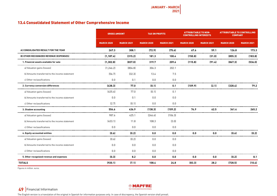# 13.4 Consolidated Statement of Other Comprehensive Income

|                                                | <b>GROSS AMOUNT</b> |                   | <b>TAX ON PROFITS</b> |                   | <b>ATTRIBUTABLE TO NON-</b><br><b>CONTROLLING INTERESTS</b> |                   | <b>ATTRIBUTABLE TO CONTROLLING</b><br><b>COMPANY</b> |                   |  |
|------------------------------------------------|---------------------|-------------------|-----------------------|-------------------|-------------------------------------------------------------|-------------------|------------------------------------------------------|-------------------|--|
|                                                | <b>MARCH 2020</b>   | <b>MARCH 2021</b> | <b>MARCH 2020</b>     | <b>MARCH 2021</b> | <b>MARCH 2020</b>                                           | <b>MARCH 2021</b> | <b>MARCH 2020</b>                                    | <b>MARCH 2021</b> |  |
| AI CONSOLIDATED RESULT FOR THE YEAR            | 267.3               | 308.1             | (72.9)                | (75.6)            | 67.6                                                        | 59.1              | 126.8                                                | 173.3             |  |
| <b>BI OTHER RECOGNIZED REVENUE (EXPENSES)</b>  | (1.187.4)           | (315.2)           | 181.3                 | 100.4             | (150.8)                                                     | (31.0)            | (855.3)                                              | (183.8)           |  |
| 1. Financial assets available for sale         | (1, 302.8)          | (837.0)           | 319.7                 | 209.6             | (115.8)                                                     | (91.4)            | (867.3)                                              | (536.0)           |  |
| a) Valuation gains (losses)                    | (1, 246.2)          | [804.8]           | 306.3                 | 202.1             |                                                             |                   |                                                      |                   |  |
| b) Amounts transferred to the income statement | [56.7]              | [32.3]            | 13.4                  | 7.5               |                                                             |                   |                                                      |                   |  |
| c) Other reclassifications                     | 0.0                 | 0.1               | 0.0                   | 0.0               |                                                             |                   |                                                      |                   |  |
| 2. Currency conversion differences             | (438.3)             | 77.0              | (0.1)                 | 0.1               | (109.9)                                                     | (2.1)             | (328.4)                                              | 79.2              |  |
| a) Valuation gains (losses)                    | [435.6]             | 77.0              | (0.1)                 | 0.1               |                                                             |                   |                                                      |                   |  |
| b) Amounts transferred to the income statement | 0.0                 | 0.1               | 0.0                   | 0.0               |                                                             |                   |                                                      |                   |  |
| cl Other reclassifications                     | [2.7]               | (0.1)             | 0.0                   | 0.0               |                                                             |                   |                                                      |                   |  |
| 3. Shadow accounting                           | 554.6               | 436.9             | (138.3)               | (109.2)           | 74.9                                                        | 62.5              | 341.4                                                | 265.2             |  |
| a) Valuation gains (losses)                    | 987.6               | 425.1             | [246.6]               | [106.3]           |                                                             |                   |                                                      |                   |  |
| b) Amounts transferred to the income statement | [433.1]             | 11.8              | 108.3                 | (3.0)             |                                                             |                   |                                                      |                   |  |
| c) Other reclassifications                     | 0.0                 | 0.0               | 0.0                   | 0.0               |                                                             |                   |                                                      |                   |  |
| 4. Equity-accounted entities                   | (0.6)               | (0.2)             | 0.0                   | 0.0               | 0.0                                                         | 0.0               | (0.6)                                                | (0.2)             |  |
| a) Valuation gains (losses)                    | [0.6]               | (0.2)             | $0.0\,$               | 0.0               |                                                             |                   |                                                      |                   |  |
| b) Amounts transferred to the income statement | 0.0                 | 0.0               | 0.0                   | 0.0               |                                                             |                   |                                                      |                   |  |
| cl Other reclassifications                     | 0.0                 | 0.0               | 0.0                   | 0.0               |                                                             |                   |                                                      |                   |  |
| 5. Other recognized revenue and expenses       | (0.3)               | 8.2               | $0.0\,$               | 0.0               | 0.0                                                         | 0.0               | (0.2)                                                | 8.1               |  |
| <b>TOTALS</b>                                  | (920.1)             | (7.1)             | 108.4                 | 24.8              | (83.3)                                                      | 28.2              | (728.5)                                              | (10.4)            |  |

Figures in million euros

**49** Financial Information

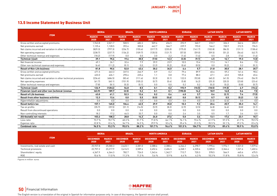**JANUARY - MARCH 2021**

# 13.5 Income Statement by Business Unit

|                                                                 | <b>IBERIA</b>        |                      | <b>BRAZIL</b>        |                      | <b>NORTH AMERICA</b> |                      | <b>EURASIA</b>       |                      | <b>LATAM SOUTH</b>   |                      | <b>LATAM NORTH</b>   |                      |
|-----------------------------------------------------------------|----------------------|----------------------|----------------------|----------------------|----------------------|----------------------|----------------------|----------------------|----------------------|----------------------|----------------------|----------------------|
| <b>ITEM</b>                                                     | <b>MARCH</b><br>2020 | <b>MARCH</b><br>2021 | <b>MARCH</b><br>2020 | <b>MARCH</b><br>2021 | <b>MARCH</b><br>2020 | <b>MARCH</b><br>2021 | <b>MARCH</b><br>2020 | <b>MARCH</b><br>2021 | <b>MARCH</b><br>2020 | <b>MARCH</b><br>2021 | <b>MARCH</b><br>2020 | <b>MARCH</b><br>2021 |
| Gross written and accepted premiums                             | 1.943.8              | 2,021.7              | 500.5                | 482.2                | 509.6                | 454.5                | 393.9                | 340.7                | 310.7                | 326.3                | 342.6                | 355.9                |
| Net premiums earned                                             | 1,125.4              | 1,128.5              | 392.4                | 300.8                | 442.7                | 366.7                | 229.9                | 193.0                | 166.2                | 150.9                | 212.5                | 196.5                |
| Net claims incurred and variation in other technical provisions | [829.3]              | [797.3]              | [236.7]              | [155.6]              | [317.7]              | [235.0]              | (175.0)              | [141.7]              | [102.8]              | [86.5]               | (131.1)              | [138.6]              |
| Net operating expenses                                          | [238.7]              | [237.7]              | (136.2)              | (109.7)              | (135.5)              | (121.7)              | (57.0)               | (59.0)               | (59.5)               | (51.2)               | [54.6]               | (42.7)               |
| Other technical revenue and expenses.                           | (18.2)               | (17.9)               | 0.0                  | 0.0                  | 3.0                  | 2.2                  | (1.4)                | (1.4)                | 0.5                  | 2.8                  | (7.6)                | (1.4)                |
| <b>Technical result</b>                                         | 39.1                 | 75.6                 | 19.4                 | 35.5                 | (7.5)                | 12.3                 | (3.5)                | (9.1)                | 4.5                  | 16.1                 | 19.3                 | 13.8                 |
| Net financial income                                            | 49.1                 | 26.1                 | 32.6                 | 7.9                  | 39.9                 | 23.9                 | 10.5                 | 15.4                 | 17.3                 | 14.1                 | 8.6                  | 7.0                  |
| Other non-technical revenue and expenses                        | [6.4]                | (11.2)               | (0.1)                | 0.0                  | (2.2)                | [0.2]                | [0.6]                | (0.5)                | 0.0                  | [0.2]                | 0.2                  | [0.1]                |
| <b>Result of Non-Life business</b>                              | 81.8                 | 90.6                 | 52.0                 | 43.4                 | 30.2                 | 36.0                 | 6.4                  | 5.7                  | 21.8                 | 30.0                 | 28.1                 | 20.7                 |
| Gross written and accepted premiums                             | 471.5                | 463.3                | 337.5                | 246.9                | 0.9                  | 0.2                  | 79.4                 | 89.9                 | 60.4                 | 59.2                 | 141.6                | 98.6                 |
| Net premiums earned                                             | 433.0                | 426.1                | 290.4                | 225.4                | 1.1                  | 0.8                  | 77.6                 | 88.3                 | 47.1                 | 43.0                 | 105.8                | 65.6                 |
| Net claims incurred and variation in other technical provisions | [236.6]              | [486.5]              | [83.4]               | [111.6]              | [0.3]                | [0.1]                | 122.0                | [92.8]               | (40.2)               | [41.5]               | (74.4)               | [56.9]               |
| Net operating expenses                                          | [61.7]               | [60.1]               | (151.9)              | (105.2)              | [0.7]                | [0.4]                | (5.8)                | (6.2)                | (25.3)               | [20.3]               | [23.8]               | [23.4]               |
| Other technical revenue and expenses                            | (7.8)                | [8.1]                | (0.3)                | (0.1)                | 0.0                  | 0.0                  | 0.2                  | 0.2                  | (0.2)                | [0.2]                | (0.8)                | (0.7)                |
| <b>Technical result</b>                                         | 126.9                | (128.6)              | 54.8                 | 8.5                  | 0.1                  | 0.2                  | 193.9                | (10.5)               | (18.5)               | (19.0)               | 6.7                  | (15.4)               |
| Financial result and other non-technical revenue                | (63.9)               | 189.7                | (2.5)                | 5.2                  | 0.1                  | 0.1                  | (190.0)              | 14.2                 | 18.9                 | 16.8                 | 0.6                  | 7.8                  |
| <b>Result of Life business</b>                                  | 63.0                 | 61.1                 | 52.3                 | 13.6                 | 0.2                  | 0.4                  | 4.0                  | 3.7                  | 0.4                  | (2.1)                | 7.4                  | (7.5)                |
| <b>Result from other business activities</b>                    | 12.3                 | 13.4                 | 0.0                  | 5.5                  | (0.5)                | (0.6)                | 0.0                  | (0.1)                | 0.7                  | 0.5                  | (0.2)                | 1.0                  |
| Hyperinflation adjustments                                      | 0.0                  | 0.0                  | 0.0                  | 0.0                  | 0.0                  | 0.0                  | 0.0                  | 0.0                  | (2.5)                | [2.4]                | 0.0                  | 0.0                  |
| <b>Result before tax</b>                                        | 157.1                | 165.0                | 104.4                | 62.5                 | 29.9                 | 35.8                 | 10.3                 | 9.3                  | 20.4                 | 25.9                 | 35.3                 | 14.1                 |
| Tax on profits                                                  | (35.7)               | (39.5)               | (31.1)               | (14.5)               | (5.9)                | (8.2)                | (2.9)                | (2.5)                | (6.8)                | (6.6)                | (8.8)                | (3.1)                |
| Result from discontinued operations                             | 0.0                  | 0.0                  | 0.0                  | 0.0                  | 0.0                  | 0.0                  | 0.0                  | 0.0                  | 0.0                  | 0.0                  | 0.0                  | 0.0                  |
| Non-controlling interests                                       | 18.2                 | 17.2                 | 44.5                 | 33.7                 | 0.0                  | 0.0                  | 2.4<br>---           | 3.5                  | 0.5                  | 1.7                  | 3.4                  | 0.9                  |
| Attributable net result                                         | 103.2                | 108.3                | 28.8                 | 14.3                 | 24.0                 | 27.6                 | 5.0                  | 3.4                  | 13.1                 | 17.6                 | 23.1                 | 10.1                 |
| Loss ratio                                                      | 73.7%                | 70.7%                | 60.3%                | 51.7%                | 71.8%                | 64.1%                | 76.1%                | 73.4 %               | 61.9%                | 57.3%                | 61.7%                | 70.5 %               |
| Expense ratio                                                   | 22.8%                | 22.6%                | 34.7%                | 36.5%                | 29.9%                | 32.6 %               | 25.4%                | 31.3%                | 35.5%                | 32.1%                | 29.2%                | 22.4 %               |
| <b>Combined ratio</b>                                           | 96.5%                | 93.3%                | 95.0%                | 88.2%                | 101.7%               | 96.6%                | 101.5%               | 104.7%               | 97.3%                | 89.4%                | 90.9%                | 93.0%                |

|                                   | <b>IBERIA</b>           |                      | <b>BRAZIL</b>           |                      | <b>NORTH AMERICA</b>    |                      | <b>EURASIA</b>          |                      | <b>LATAM SOUTH</b>      |                      | <b>LATAM NORTH</b>      |                      |
|-----------------------------------|-------------------------|----------------------|-------------------------|----------------------|-------------------------|----------------------|-------------------------|----------------------|-------------------------|----------------------|-------------------------|----------------------|
| <b>ITEM</b>                       | <b>DECEMBER</b><br>2020 | <b>MARCH</b><br>2021 | <b>DECEMBER</b><br>2020 | <b>MARCH</b><br>2021 | <b>DECEMBER</b><br>2020 | <b>MARCH</b><br>2021 | <b>DECEMBER</b><br>2020 | <b>MARCH</b><br>2021 | <b>DECEMBER</b><br>2020 | <b>MARCH</b><br>2021 | <b>DECEMBER</b><br>2020 | <b>MARCH</b><br>2021 |
| Investments, real estate and cash | 25,937.8                | 25,580.3             | 2,623.1                 | 2,381.0              | 2,388.6                 | 2,388.4              | 4,244.2                 | 4,298.7              | ,995.6                  | .974.1               | ,531.0                  | .579.6               |
| Technical provisions              | 22,757.2                | 23,217.9             | 3.416.5                 | 3,589.6              | 2,452.4                 | 2,484.5              | 4,268.1                 | 4.320.6              | 3,305.0                 | 3,366.4              | 1,521.6                 | ,602.6               |
| Shareholders' equity              | 4,367.9                 | 4,364.3              | 782.7                   | 726.0                | ,343.4                  | 1,342.7              | 713.7                   | 720.3                | 578.5                   | 564.9                | 445.6                   | 475.5                |
| <b>ROE</b>                        | 10.6%                   | 11.0%                | 11.3%                   | 11.3%                | 5.6%                    | 5.9%                 | 4.4%                    | 4.3%                 | 10.3%                   | 11.8%                | 15.8%                   | 12.4 %               |

Figures in million euros



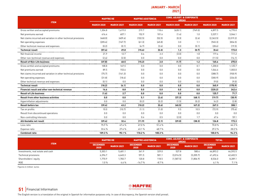### **JANUARY - MARCH 2021**

|                                                                 | <b>MAPFRE RE</b>  |                   | <b>MAPFRE ASISTENCIA</b> |                   | <b>CONS. ADJUST. &amp; CORPORATE</b><br><b>AREAS</b> |                   | <b>TOTAL</b>      |                   |  |
|-----------------------------------------------------------------|-------------------|-------------------|--------------------------|-------------------|------------------------------------------------------|-------------------|-------------------|-------------------|--|
| <b>ITEM</b>                                                     | <b>MARCH 2020</b> | <b>MARCH 2021</b> | <b>MARCH 2020</b>        | <b>MARCH 2021</b> | <b>MARCH 2020</b>                                    | <b>MARCH 2021</b> | <b>MARCH 2020</b> | <b>MARCH 2021</b> |  |
| Gross written and accepted premiums                             | 1,304.8           | 1,419.0           | 219.7                    | 118.6             | (628.1)                                              | (749.0)           | 4,897.5           | 4,770.0           |  |
| Net premiums earned                                             | 616.4             | 607.1             | 152.9                    | 101.6             | (1.4)                                                | 1.0               | 3,337.1           | 3,046.1           |  |
| Net claims incurred and variation in other technical provisions | (468.0)           | [409.4]           | (102.5)                  | (52.5)            | [0.3]                                                | [2.6]             | [2, 363.5]        | [2,019.2]         |  |
| Net operating expenses                                          | [205.6]           | (167.7)           | [61.3]                   | (45.8)            | 3.0                                                  | 1.1               | (945.3)           | [834.5]           |  |
| Other technical revenue and expenses                            | [0.2]             | [0.1]             | [4.7]                    | [3.6]             | 0.0                                                  | [0.1]             | [28.6]            | (19.5)            |  |
| <b>Technical result</b>                                         | (57.4)            | 29.8              | (15.6)                   | (0.3)             | 1.3                                                  | (0.7)             | (0.4)             | 173.0             |  |
| Net financial income                                            | 21.9              | 12.7              | 0.4                      | 2.3               | (3.0)                                                | 1.8               | 177.4             | 111.2             |  |
| Other non-technical revenue and expenses                        | (2.4)             | (2.0)             | 0.0                      | 0.0               | 0.0                                                  | 0.0               | (11.5)            | (14.1)            |  |
| <b>Result of Non-Life business</b>                              | (37.8)            | 40.5              | (15.2)                   | 2.0               | (1.7)                                                | 1.2               | 165.6             | 270.0             |  |
| Gross written and accepted premiums                             | 108.8             | 167.5             | 0.0                      | 0.0               | 0.0                                                  | 0.1               | 1,200.0           | 1,125.7           |  |
| Net premiums earned                                             | 89.5              | 153.6             | 0.0                      | 0.0               | 0.0                                                  | 0.0               | 1,044.6           | 1,003.0           |  |
| Net claims incurred and variation in other technical provisions | (75.7)            | [141.3]           | 0.0                      | 0.0               | 0.0                                                  | 0.0               | (388.7)           | (930.9)           |  |
| Net operating expenses                                          | [31.8]            | (18.4)            | 0.0                      | 0.0               | 0.0                                                  | 0.0               | (300.9)           | [234.0]           |  |
| Other technical revenue and expenses                            | [0.1]             | 0.0               | 0.0                      | 0.0               | 0.0                                                  | 0.0               | (9.0)             | (9.0)             |  |
| Technical result                                                | (18.2)            | (6.1)             | 0.0                      | 0.0               | 0.0                                                  | 0.0               | 345.9             | (170.9)           |  |
| Financial result and other non-technical revenue                | 16.6              | 8.8               | 0.0                      | 0.0               | 0.0                                                  | 0.0               | (220.2)           | 242.6             |  |
| <b>Result of Life business</b>                                  | (1.6)             | 2.7               | 0.0                      | 0.0               | 0.0                                                  | 0.0               | 125.7             | 71.7              |  |
| <b>Result from other business activities</b>                    | 0.0               | 0.0               | 5.1                      | (2.4)             | (37.3)                                               | (48.1)            | (19.7)            | (30.9)            |  |
| Hyperinflation adjustments                                      | 0.0               | 0.0               | [0.2]                    | (0.2)             | (1.5)                                                | [0.2]             | (4.2)             | (2.8)             |  |
| <b>Result before tax</b>                                        | (39.4)            | 43.2              | (10.2)                   | (0.6)             | (40.5)                                               | (47.2)            | 267.3             | 308.1             |  |
| Tax on profits                                                  | 10.0              | (10.7)            | (1.1)                    | (1.0)             | 9.5                                                  | 10.5              | (72.9)            | (75.6)            |  |
| Result from discontinued operations                             | 0.0               | 0.0               | 0.0                      | 0.0               | 0.0                                                  | 0.0               | 0.0               | 0.0               |  |
| Non-controlling interests                                       | 0.0               | 0.0               | 0.6                      | 0.5               | (2.0)                                                | 1.7               | 67.6              | 59.1              |  |
| Attributable net result                                         | (29.4)            | 32.4              | (11.9)                   | (2.1)             | (29.0)                                               | (38.3)            | 126.8             | 173.3             |  |
| Loss ratio                                                      | 75.9%             | 67.4%             | 67.0%                    | 51.6%             |                                                      |                   | 70.8%             | 66.3%             |  |
| Expense ratio                                                   | 33.4 %            | 27.6%             | 43.1%                    | 48.7%             |                                                      |                   | 29.2%             | 28.0%             |  |
| <b>Combined ratio</b>                                           | 109.3%            | 95.1%             | 110.2%                   | 100.3%            |                                                      |                   | 100.0%            | 94.3%             |  |

|                                   |                         | <b>MAPFRE ASISTENCIA</b><br><b>MAPFRE RE</b> |                         |                   | <b>CONS. ADJUST. &amp; CORPORATE</b><br><b>AREAS</b> |                   | <b>TOTAL</b>            |                   |
|-----------------------------------|-------------------------|----------------------------------------------|-------------------------|-------------------|------------------------------------------------------|-------------------|-------------------------|-------------------|
| <b>ITEM</b>                       | <b>DECEMBER</b><br>2020 | <b>MARCH 2021</b>                            | <b>DECEMBER</b><br>2020 | <b>MARCH 2021</b> | <b>DECEMBER</b><br>2020                              | <b>MARCH 2021</b> | <b>DECEMBER</b><br>2020 | <b>MARCH 2021</b> |
| Investments, real estate and cash | 5,303.1                 | 5.481.1                                      | 341.9                   | 329.0             | 527.8                                                | 580.4             | 44.893.2                | 44,592.5          |
| Technical provisions              | 6,396.7                 | 6.645.3                                      | 591.5                   | 581.1             | [3.016.5]                                            | [3, 205.7]        | 41.692.6                | 42,602.5          |
| Shareholders' equity              | 1.770.9                 | .783.7                                       | 120.8                   | 118.5             | (1.587.5)                                            | (1,806.9)         | 8,536.0                 | 8,289.1           |
| ROE                               | $1.0 \%$                | 4.6%                                         | $-14.7%$                | $-8.7%$           |                                                      |                   | 6.1%                    | 7.1%              |

Figures in million euros

**51** Financial Information

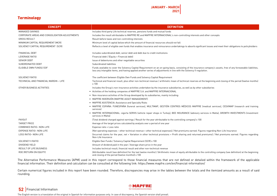### **Terminology**

| <b>CONCEPT</b>                                | <b>DEFINITION</b>                                                                                                                                                                                                                                                                          |
|-----------------------------------------------|--------------------------------------------------------------------------------------------------------------------------------------------------------------------------------------------------------------------------------------------------------------------------------------------|
| MANAGED SAVINGS                               | Includes third party Life technical reserves, pensions funds and mutual funds                                                                                                                                                                                                              |
| CORPORATE AREAS AND CONSOLIDATION ADJUSTMENTS | Includes the result attributable to MAPFRE RE and MAPFRE INTERNACIONAL's non-controlling interests and other concepts                                                                                                                                                                      |
| <b>GROSS RESULT</b>                           | Result before taxes and non-controlling interests                                                                                                                                                                                                                                          |
| MINIMUM CAPITAL REQUIREMENT (MCR)             | Minimum level of capital below which the amount of financial resources should not fall                                                                                                                                                                                                     |
| SOLVENCY CAPITAL REQUIREMENT (SCR)            | Reflects a level of eligible own funds that enables insurance and reinsurance undertakings to absorb significant losses and meet their obligations to policyholders                                                                                                                        |
| FINANCIAL DEBT                                | Includes subordinated debt, senior debt and debt due to credit institutions                                                                                                                                                                                                                |
| LEVERAGE RATIO                                | Financial debt / (Equity + Financial debt)                                                                                                                                                                                                                                                 |
| <b>SENIOR DEBT</b>                            | Issue of debentures and other negotiable securities                                                                                                                                                                                                                                        |
| SUBORDINATED DEBT                             | Subordinated liabilities                                                                                                                                                                                                                                                                   |
| ELIGIBLE OWN FUNDS/ EOF                       | Funds available to cover the Solvency Capital Requirement on an on-qoing basis, consisting of the insurance company's assets, free of any foreseeable liabilities,<br>less any intangible items, and having applied another series of adjustments in line with the Solvency II regulation. |
| SOLVENCY RATIO                                | The coefficient between Eligible Own Funds and Solvency Capital Requirement                                                                                                                                                                                                                |
| TECHNICAL AND FINANCIAL MARGIN - LIFE         | Technical and financial result, plus other non-technical revenue / arithmetic mean of technical reserves at the beginning and closing of the period (twelve months)<br>x 100                                                                                                               |
| OTHER BUSINESS ACTIVITIES                     | Includes the Group's non-insurance activities undertaken by the insurance subsidiaries, as well as by other subsidiaries                                                                                                                                                                   |
|                                               | • Activities of the holding companies of MAPFRE S.A. and MAPFRE INTERNACIONAL                                                                                                                                                                                                              |
|                                               | • Non-insurance activities of the Group developed by its subsidiaries, mainly including:                                                                                                                                                                                                   |
|                                               | • MAPFRE INVERSIÓN (MAPFRE ASSET MANAGEMENT)                                                                                                                                                                                                                                               |
|                                               | • MAPFRE ASISTENCIA: Assistance and Specialty Risks                                                                                                                                                                                                                                        |
|                                               | • MAPFRE ESPAÑA: FUNESPAÑA (funeral services), MULTIMAP, GESTIÓN CENTROS MÉDICOS MAPFRE (medical services), CESVIMAP (research and training<br>services                                                                                                                                    |
|                                               | • MAPFRE INTERNACIONAL: sigorta SERVIS (vehicle repair shops in Turkey), BEE INSURANCE (advisory services in Malta), GROWTH INVESTMENTS (investment<br>services in Malta)                                                                                                                  |
| PAYOUT                                        | (Total dividend charged against earnings / Result for the year attributable to the controlling company) x 100                                                                                                                                                                              |
| <b>TARGET PRICE</b>                           | Average of the target prices calculated by analysts over a period of one year                                                                                                                                                                                                              |
| COMBINED RATIO- NON-LIFE                      | Expense ratio + Loss ratio                                                                                                                                                                                                                                                                 |
| <b>EXPENSE RATIO- NON-LIFE</b>                | (Net operating expenses - other technical revenue + other technical expenses) / Net premiums earned. Figures regarding Non-Life Insurance                                                                                                                                                  |
| LOSS RATIO- NON-LIFE                          | (Incurred claims for the year, net + Variation in other technical provisions + Profit sharing and returned premiums) / Net premiums earned. Figures regarding<br>Non-Life Insurance                                                                                                        |
| SOLVENCY II RATIO                             | Eligible Own Funds / Solvency Capital Requirement (SCR) x 100                                                                                                                                                                                                                              |
| DIVIDEND YIELD                                | Amount of dividend paid in the year / Average share price in the year                                                                                                                                                                                                                      |
| RESULT OF LIFE BUSINESS                       | Includes technical result, financial result and other non-technical revenue                                                                                                                                                                                                                |
| ROE (RETURN ON EQUITY)                        | (Attributable result (see definition) for the last twelve months) / (Arithmetic mean of equity attributable to the controlling company (see definition) at the beginning<br>and closing of the period (twelve months)) x 100                                                               |

The Alternative Performance Measures (APM) used in this report correspond to those financial measures that are not defined or detailed within the framework of the applicable financial information. Their definition and calculation can be consulted at the following link: https://www.mapfre.com/en/financial-information/

Certain numerical figures included in this report have been rounded. Therefore, discrepancies may arise in the tables between the totals and the itemized amounts as a result of said rounding.

# **52** Financial Information